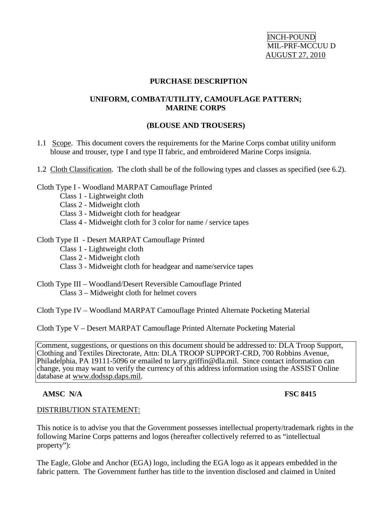INCH-POUND MIL-PRF-MCCUU D AUGUST 27, 2010

#### **PURCHASE DESCRIPTION**

### **UNIFORM, COMBAT/UTILITY, CAMOUFLAGE PATTERN; MARINE CORPS**

#### **(BLOUSE AND TROUSERS)**

1.1 Scope. This document covers the requirements for the Marine Corps combat utility uniform blouse and trouser, type I and type II fabric, and embroidered Marine Corps insignia.

#### 1.2 Cloth Classification. The cloth shall be of the following types and classes as specified (see 6.2).

#### Cloth Type I - Woodland MARPAT Camouflage Printed

- Class 1 Lightweight cloth
- Class 2 Midweight cloth
- Class 3 Midweight cloth for headgear
- Class 4 Midweight cloth for 3 color for name / service tapes

#### Cloth Type II - Desert MARPAT Camouflage Printed

- Class 1 Lightweight cloth
- Class 2 Midweight cloth
- Class 3 Midweight cloth for headgear and name/service tapes
- Cloth Type III Woodland/Desert Reversible Camouflage Printed Class 3 – Midweight cloth for helmet covers

Cloth Type IV – Woodland MARPAT Camouflage Printed Alternate Pocketing Material

Cloth Type V – Desert MARPAT Camouflage Printed Alternate Pocketing Material

Comment, suggestions, or questions on this document should be addressed to: DLA Troop Support, Clothing and Textiles Directorate, Attn: DLA TROOP SUPPORT-CRD, 700 Robbins Avenue, Philadelphia, PA 19111-5096 or emailed to larry.griffin@dla.mil. Since contact information can change, you may want to verify the currency of this address information using the ASSIST Online database at www.dodssp.daps.mil.

## **AMSC N/A** FSC 8415

#### DISTRIBUTION STATEMENT:

This notice is to advise you that the Government possesses intellectual property/trademark rights in the following Marine Corps patterns and logos (hereafter collectively referred to as "intellectual property"):

The Eagle, Globe and Anchor (EGA) logo, including the EGA logo as it appears embedded in the fabric pattern. The Government further has title to the invention disclosed and claimed in United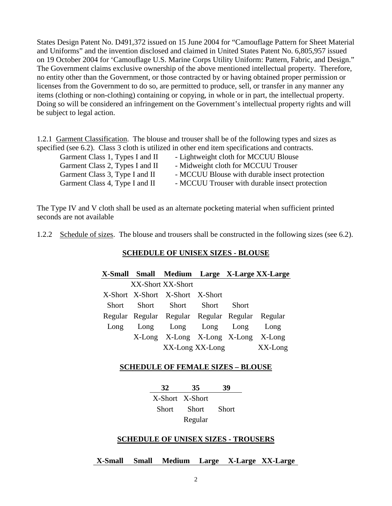States Design Patent No. D491,372 issued on 15 June 2004 for "Camouflage Pattern for Sheet Material and Uniforms" and the invention disclosed and claimed in United States Patent No. 6,805,957 issued on 19 October 2004 for 'Camouflage U.S. Marine Corps Utility Uniform: Pattern, Fabric, and Design." The Government claims exclusive ownership of the above mentioned intellectual property. Therefore, no entity other than the Government, or those contracted by or having obtained proper permission or licenses from the Government to do so, are permitted to produce, sell, or transfer in any manner any items (clothing or non-clothing) containing or copying, in whole or in part, the intellectual property. Doing so will be considered an infringement on the Government's intellectual property rights and will be subject to legal action.

1.2.1 Garment Classification. The blouse and trouser shall be of the following types and sizes as specified (see 6.2). Class 3 cloth is utilized in other end item specifications and contracts.

| Garment Class 1, Types I and II | - Lightweight cloth for MCCUU Blouse           |
|---------------------------------|------------------------------------------------|
| Garment Class 2, Types I and II | - Midweight cloth for MCCUU Trouser            |
| Garment Class 3, Type I and II  | - MCCUU Blouse with durable insect protection  |
| Garment Class 4, Type I and II  | - MCCUU Trouser with durable insect protection |

The Type IV and V cloth shall be used as an alternate pocketing material when sufficient printed seconds are not available

1.2.2 Schedule of sizes. The blouse and trousers shall be constructed in the following sizes (see 6.2).

## **SCHEDULE OF UNISEX SIZES - BLOUSE**

|                   |                                 |                                                 |              | X-Small Small Medium Large X-Large XX-Large |
|-------------------|---------------------------------|-------------------------------------------------|--------------|---------------------------------------------|
| XX-Short XX-Short |                                 |                                                 |              |                                             |
|                   | X-Short X-Short X-Short X-Short |                                                 |              |                                             |
|                   |                                 | Short Short Short Short                         | <b>Short</b> |                                             |
|                   |                                 | Regular Regular Regular Regular Regular Regular |              |                                             |
| Long              |                                 | Long Long Long Long                             |              | Long                                        |
|                   |                                 | X-Long X-Long X-Long X-Long X-Long              |              |                                             |
|                   |                                 | XX-Long XX-Long                                 |              | XX-Long                                     |

#### **SCHEDULE OF FEMALE SIZES – BLOUSE**

| 32    | 35              | 39    |
|-------|-----------------|-------|
|       | X-Short X-Short |       |
| Short | Short           | Short |
|       | Regular         |       |

#### **SCHEDULE OF UNISEX SIZES - TROUSERS**

**X-Small Small Medium Large X-Large XX-Large**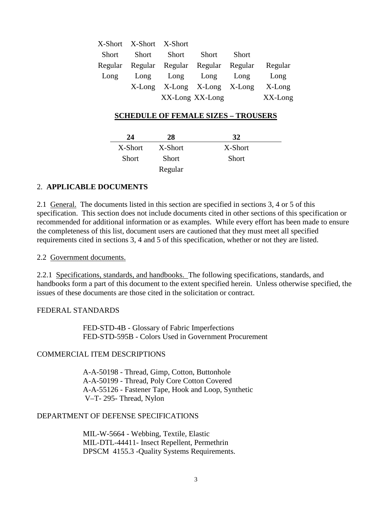|       | X-Short X-Short X-Short |                                         |       |              |            |
|-------|-------------------------|-----------------------------------------|-------|--------------|------------|
| Short | Short                   | Short                                   | Short | <b>Short</b> |            |
|       |                         | Regular Regular Regular Regular Regular |       |              | Regular    |
| Long  |                         | Long Long Long Long                     |       |              | Long       |
|       |                         | X-Long X-Long X-Long X-Long             |       |              | $X$ -Long  |
|       |                         | XX-Long XX-Long                         |       |              | $XX$ -Long |

#### **SCHEDULE OF FEMALE SIZES – TROUSERS**

| 24           | 28      | 32           |  |
|--------------|---------|--------------|--|
| X-Short      | X-Short | X-Short      |  |
| <b>Short</b> | Short   | <b>Short</b> |  |
|              | Regular |              |  |

#### 2. **APPLICABLE DOCUMENTS**

2.1 General. The documents listed in this section are specified in sections 3, 4 or 5 of this specification. This section does not include documents cited in other sections of this specification or recommended for additional information or as examples. While every effort has been made to ensure the completeness of this list, document users are cautioned that they must meet all specified requirements cited in sections 3, 4 and 5 of this specification, whether or not they are listed.

#### 2.2 Government documents.

2.2.1 Specifications, standards, and handbooks. The following specifications, standards, and handbooks form a part of this document to the extent specified herein. Unless otherwise specified, the issues of these documents are those cited in the solicitation or contract.

#### FEDERAL STANDARDS

FED-STD-4B - Glossary of Fabric Imperfections FED-STD-595B - Colors Used in Government Procurement

#### COMMERCIAL ITEM DESCRIPTIONS

A-A-50198 - Thread, Gimp, Cotton, Buttonhole A-A-50199 - Thread, Poly Core Cotton Covered A-A-55126 - Fastener Tape, Hook and Loop, Synthetic V–T- 295- Thread, Nylon

## DEPARTMENT OF DEFENSE SPECIFICATIONS

MIL-W-5664 - Webbing, Textile, Elastic MIL-DTL-44411- Insect Repellent, Permethrin DPSCM 4155.3 -Quality Systems Requirements.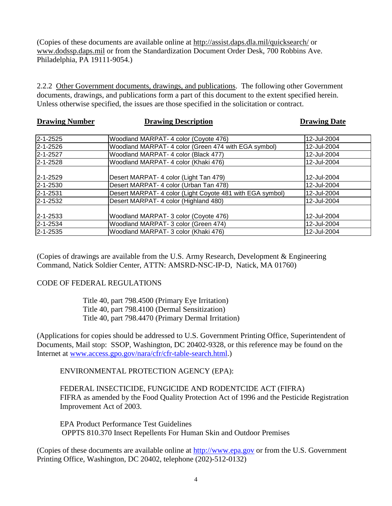(Copies of these documents are available online at<http://assist.daps.dla.mil/quicksearch/> or [www.dodssp.daps.mil](http://www.dodssp.daps.mil/) or from the Standardization Document Order Desk, 700 Robbins Ave. Philadelphia, PA 19111-9054.)

2.2.2 Other Government documents, drawings, and publications. The following other Government documents, drawings, and publications form a part of this document to the extent specified herein. Unless otherwise specified, the issues are those specified in the solicitation or contract.

| <b>Drawing Number</b> | <b>Drawing Description</b>                                | <b>Drawing Date</b> |  |
|-----------------------|-----------------------------------------------------------|---------------------|--|
| 2-1-2525              | Woodland MARPAT- 4 color (Coyote 476)                     | 12-Jul-2004         |  |
| 2-1-2526              | Woodland MARPAT- 4 color (Green 474 with EGA symbol)      | 12-Jul-2004         |  |
| 2-1-2527              | Woodland MARPAT- 4 color (Black 477)                      | 12-Jul-2004         |  |
| 2-1-2528              | Woodland MARPAT- 4 color (Khaki 476)                      | 12-Jul-2004         |  |
|                       |                                                           |                     |  |
| 2-1-2529              | Desert MARPAT- 4 color (Light Tan 479)                    | 12-Jul-2004         |  |
| $2 - 1 - 2530$        | Desert MARPAT- 4 color (Urban Tan 478)                    | 12-Jul-2004         |  |
| $2 - 1 - 2531$        | Desert MARPAT- 4 color (Light Coyote 481 with EGA symbol) | 12-Jul-2004         |  |
| 2-1-2532              | Desert MARPAT- 4 color (Highland 480)                     | 12-Jul-2004         |  |
|                       |                                                           |                     |  |
| 2-1-2533              | Woodland MARPAT- 3 color (Coyote 476)                     | 12-Jul-2004         |  |
| $2 - 1 - 2534$        | Woodland MARPAT- 3 color (Green 474)                      | 12-Jul-2004         |  |
| 2-1-2535              | Woodland MARPAT- 3 color (Khaki 476)                      | 12-Jul-2004         |  |

(Copies of drawings are available from the U.S. Army Research, Development & Engineering Command, Natick Soldier Center, ATTN: AMSRD-NSC-IP-D, Natick, MA 01760)

## CODE OF FEDERAL REGULATIONS

Title 40, part 798.4500 (Primary Eye Irritation) Title 40, part 798.4100 (Dermal Sensitization) Title 40, part 798.4470 (Primary Dermal Irritation)

(Applications for copies should be addressed to U.S. Government Printing Office, Superintendent of Documents, Mail stop: SSOP, Washington, DC 20402-9328, or this reference may be found on the Internet at [www.access.gpo.gov/nara/cfr/cfr-table-search.html.](http://www.access.gpo.gov/nara/cfr/cfr-table-search.html))

ENVIRONMENTAL PROTECTION AGENCY (EPA):

FEDERAL INSECTICIDE, FUNGICIDE AND RODENTCIDE ACT (FIFRA) FIFRA as amended by the Food Quality Protection Act of 1996 and the Pesticide Registration Improvement Act of 2003.

EPA Product Performance Test Guidelines OPPTS 810.370 Insect Repellents For Human Skin and Outdoor Premises

(Copies of these documents are available online at [http://www.epa.gov](http://www.epa.gov/) or from the U.S. Government Printing Office, Washington, DC 20402, telephone (202)-512-0132)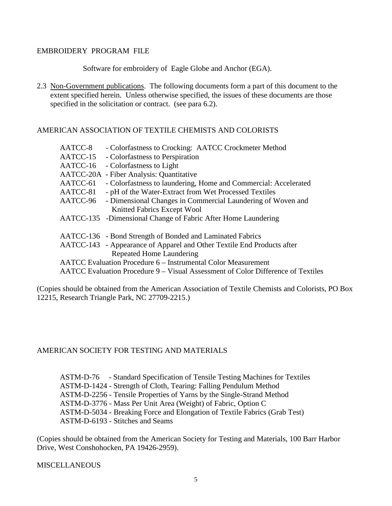#### EMBROIDERY PROGRAM FILE

Software for embroidery of Eagle Globe and Anchor (EGA).

## AMERICAN ASSOCIATION OF TEXTILE CHEMISTS AND COLORISTS

| AATCC-8  | - Colorfastness to Crocking: AATCC Crockmeter Method                             |
|----------|----------------------------------------------------------------------------------|
| AATCC-15 | - Colorfastness to Perspiration                                                  |
| AATCC-16 | - Colorfastness to Light                                                         |
|          | AATCC-20A - Fiber Analysis: Quantitative                                         |
| AATCC-61 | - Colorfastness to laundering, Home and Commercial: Accelerated                  |
| AATCC-81 | - pH of the Water-Extract from Wet Processed Textiles                            |
|          | AATCC-96 - Dimensional Changes in Commercial Laundering of Woven and             |
|          | Knitted Fabrics Except Wool                                                      |
|          | AATCC-135 -Dimensional Change of Fabric After Home Laundering                    |
|          | AATCC-136 - Bond Strength of Bonded and Laminated Fabrics                        |
|          |                                                                                  |
|          | AATCC-143 - Appearance of Apparel and Other Textile End Products after           |
|          | Repeated Home Laundering                                                         |
|          | <b>AATCC</b> Evaluation Procedure 6 – Instrumental Color Measurement             |
|          | AATCC Evaluation Procedure 9 – Visual Assessment of Color Difference of Textiles |
|          |                                                                                  |

(Copies should be obtained from the American Association of Textile Chemists and Colorists, PO Box 12215, Research Triangle Park, NC 27709-2215.)

## AMERICAN SOCIETY FOR TESTING AND MATERIALS

 ASTM-D-76 - Standard Specification of Tensile Testing Machines for Textiles ASTM-D-1424 - Strength of Cloth, Tearing: Falling Pendulum Method ASTM-D-2256 - Tensile Properties of Yarns by the Single-Strand Method ASTM-D-3776 - Mass Per Unit Area (Weight) of Fabric, Option C ASTM-D-5034 - Breaking Force and Elongation of Textile Fabrics (Grab Test) ASTM-D-6193 - Stitches and Seams

(Copies should be obtained from the American Society for Testing and Materials, 100 Barr Harbor Drive, West Conshohocken, PA 19426-2959).

#### **MISCELLANEOUS**

<sup>2.3</sup> Non-Government publications. The following documents form a part of this document to the extent specified herein. Unless otherwise specified, the issues of these documents are those specified in the solicitation or contract. (see para 6.2).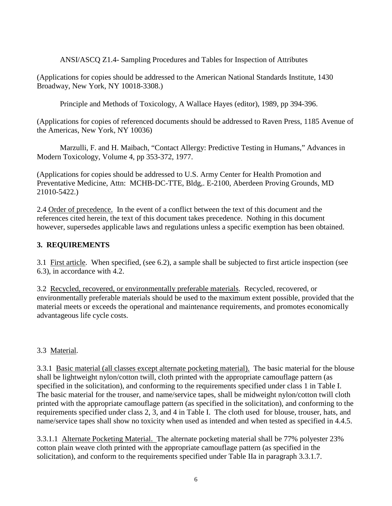ANSI/ASCQ Z1.4- Sampling Procedures and Tables for Inspection of Attributes

(Applications for copies should be addressed to the American National Standards Institute, 1430 Broadway, New York, NY 10018-3308.)

Principle and Methods of Toxicology, A Wallace Hayes (editor), 1989, pp 394-396.

(Applications for copies of referenced documents should be addressed to Raven Press, 1185 Avenue of the Americas, New York, NY 10036)

Marzulli, F. and H. Maibach, "Contact Allergy: Predictive Testing in Humans," Advances in Modern Toxicology, Volume 4, pp 353-372, 1977.

(Applications for copies should be addressed to U.S. Army Center for Health Promotion and Preventative Medicine, Attn: MCHB-DC-TTE, Bldg,. E-2100, Aberdeen Proving Grounds, MD 21010-5422.)

2.4 Order of precedence. In the event of a conflict between the text of this document and the references cited herein, the text of this document takes precedence. Nothing in this document however, supersedes applicable laws and regulations unless a specific exemption has been obtained.

# **3. REQUIREMENTS**

3.1 First article. When specified, (see 6.2), a sample shall be subjected to first article inspection (see 6.3), in accordance with 4.2.

3.2 Recycled, recovered, or environmentally preferable materials. Recycled, recovered, or environmentally preferable materials should be used to the maximum extent possible, provided that the material meets or exceeds the operational and maintenance requirements, and promotes economically advantageous life cycle costs.

# 3.3 Material.

3.3.1 Basic material (all classes except alternate pocketing material). The basic material for the blouse shall be lightweight nylon/cotton twill, cloth printed with the appropriate camouflage pattern (as specified in the solicitation), and conforming to the requirements specified under class 1 in Table I. The basic material for the trouser, and name/service tapes, shall be midweight nylon/cotton twill cloth printed with the appropriate camouflage pattern (as specified in the solicitation), and conforming to the requirements specified under class 2, 3, and 4 in Table I. The cloth used for blouse, trouser, hats, and name/service tapes shall show no toxicity when used as intended and when tested as specified in 4.4.5.

3.3.1.1 Alternate Pocketing Material. The alternate pocketing material shall be 77% polyester 23% cotton plain weave cloth printed with the appropriate camouflage pattern (as specified in the solicitation), and conform to the requirements specified under Table IIa in paragraph 3.3.1.7.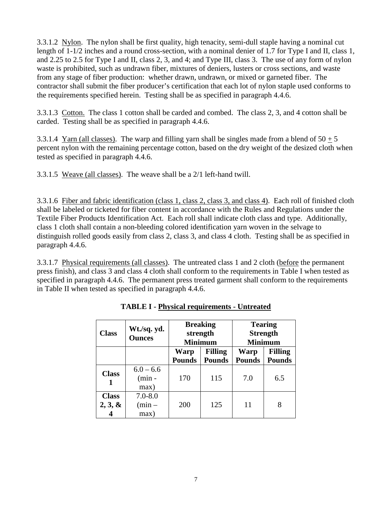3.3.1.2 Nylon. The nylon shall be first quality, high tenacity, semi-dull staple having a nominal cut length of 1-1/2 inches and a round cross-section, with a nominal denier of 1.7 for Type I and II, class 1, and 2.25 to 2.5 for Type I and II, class 2, 3, and 4; and Type III, class 3. The use of any form of nylon waste is prohibited, such as undrawn fiber, mixtures of deniers, lusters or cross sections, and waste from any stage of fiber production: whether drawn, undrawn, or mixed or garneted fiber. The contractor shall submit the fiber producer's certification that each lot of nylon staple used conforms to the requirements specified herein. Testing shall be as specified in paragraph 4.4.6.

3.3.1.3 Cotton. The class 1 cotton shall be carded and combed. The class 2, 3, and 4 cotton shall be carded. Testing shall be as specified in paragraph 4.4.6.

3.3.1.4 Yarn (all classes). The warp and filling yarn shall be singles made from a blend of  $50 + 5$ percent nylon with the remaining percentage cotton, based on the dry weight of the desized cloth when tested as specified in paragraph 4.4.6.

3.3.1.5 Weave (all classes). The weave shall be a 2/1 left-hand twill.

3.3.1.6 Fiber and fabric identification (class 1, class 2, class 3, and class 4). Each roll of finished cloth shall be labeled or ticketed for fiber content in accordance with the Rules and Regulations under the Textile Fiber Products Identification Act. Each roll shall indicate cloth class and type. Additionally, class 1 cloth shall contain a non-bleeding colored identification yarn woven in the selvage to distinguish rolled goods easily from class 2, class 3, and class 4 cloth. Testing shall be as specified in paragraph 4.4.6.

3.3.1.7 Physical requirements (all classes). The untreated class 1 and 2 cloth (before the permanent press finish), and class 3 and class 4 cloth shall conform to the requirements in Table I when tested as specified in paragraph 4.4.6. The permanent press treated garment shall conform to the requirements in Table II when tested as specified in paragraph 4.4.6.

| <b>Class</b>               | Wt./sq. yd.<br><b>Ounces</b>    | <b>Breaking</b><br>strength<br><b>Minimum</b> |               | <b>Tearing</b><br><b>Strength</b><br><b>Minimum</b> |                |
|----------------------------|---------------------------------|-----------------------------------------------|---------------|-----------------------------------------------------|----------------|
|                            |                                 | <b>Filling</b><br><b>Warp</b>                 |               | Warp                                                | <b>Filling</b> |
|                            |                                 | <b>Pounds</b>                                 | <b>Pounds</b> | <b>Pounds</b>                                       | <b>Pounds</b>  |
| <b>Class</b>               | $6.0 - 6.6$<br>$(min -$<br>max) | 170                                           | 115           | 7.0                                                 | 6.5            |
| <b>Class</b><br>$2, 3, \&$ | $7.0 - 8.0$<br>$(min -$<br>max) | 200                                           | 125           | 11                                                  | 8              |

|  | <b>TABLE I - Physical requirements - Untreated</b> |  |
|--|----------------------------------------------------|--|
|  |                                                    |  |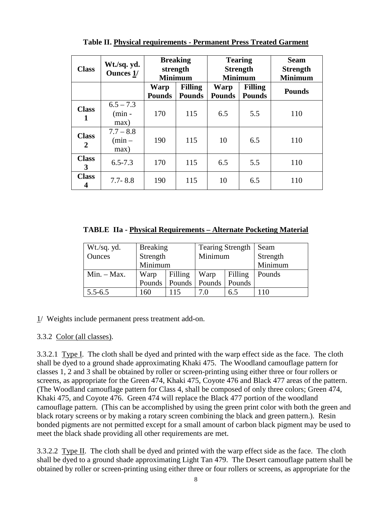| <b>Class</b>                   | Wt./sq. yd.<br><b>Ounces 1/</b> | <b>Breaking</b><br>strength<br><b>Minimum</b> |                                 | <b>Tearing</b><br><b>Strength</b><br><b>Minimum</b> |                                 | <b>Seam</b><br><b>Strength</b><br><b>Minimum</b> |
|--------------------------------|---------------------------------|-----------------------------------------------|---------------------------------|-----------------------------------------------------|---------------------------------|--------------------------------------------------|
|                                |                                 | <b>Warp</b><br><b>Pounds</b>                  | <b>Filling</b><br><b>Pounds</b> | Warp<br><b>Pounds</b>                               | <b>Filling</b><br><b>Pounds</b> | <b>Pounds</b>                                    |
| <b>Class</b>                   | $6.5 - 7.3$<br>$(min -$<br>max) | 170                                           | 115                             | 6.5                                                 | 5.5                             | 110                                              |
| <b>Class</b><br>$\overline{2}$ | $7.7 - 8.8$<br>$(min -$<br>max) | 190                                           | 115                             | 10                                                  | 6.5                             | 110                                              |
| <b>Class</b><br>3              | $6.5 - 7.3$                     | 170                                           | 115                             | 6.5                                                 | 5.5                             | 110                                              |
| <b>Class</b><br>4              | $7.7 - 8.8$                     | 190                                           | 115                             | 10                                                  | 6.5                             | 110                                              |

**Table II. Physical requirements - Permanent Press Treated Garment**

**TABLE IIa - Physical Requirements – Alternate Pocketing Material**

| Wt./sq. yd.   | <b>Breaking</b> |                          | <b>Tearing Strength</b> |         | Seam     |
|---------------|-----------------|--------------------------|-------------------------|---------|----------|
| Ounces        | Strength        |                          | Minimum                 |         | Strength |
|               | Minimum         |                          |                         |         | Minimum  |
| $Min. - Max.$ | Filling<br>Warp |                          | Warp                    | Filling | Pounds   |
|               |                 | Pounds   Pounds   Pounds |                         | Pounds  |          |
| $5.5 - 6.5$   | 160             | 115                      | 7.0                     | 6.5     | 110      |

 $1/$  Weights include permanent press treatment add-on.

# 3.3.2 Color (all classes).

3.3.2.1 Type I. The cloth shall be dyed and printed with the warp effect side as the face. The cloth shall be dyed to a ground shade approximating Khaki 475. The Woodland camouflage pattern for classes 1, 2 and 3 shall be obtained by roller or screen-printing using either three or four rollers or screens, as appropriate for the Green 474, Khaki 475, Coyote 476 and Black 477 areas of the pattern. (The Woodland camouflage pattern for Class 4, shall be composed of only three colors; Green 474, Khaki 475, and Coyote 476. Green 474 will replace the Black 477 portion of the woodland camouflage pattern. (This can be accomplished by using the green print color with both the green and black rotary screens or by making a rotary screen combining the black and green pattern.). Resin bonded pigments are not permitted except for a small amount of carbon black pigment may be used to meet the black shade providing all other requirements are met.

3.3.2.2 Type II. The cloth shall be dyed and printed with the warp effect side as the face. The cloth shall be dyed to a ground shade approximating Light Tan 479. The Desert camouflage pattern shall be obtained by roller or screen-printing using either three or four rollers or screens, as appropriate for the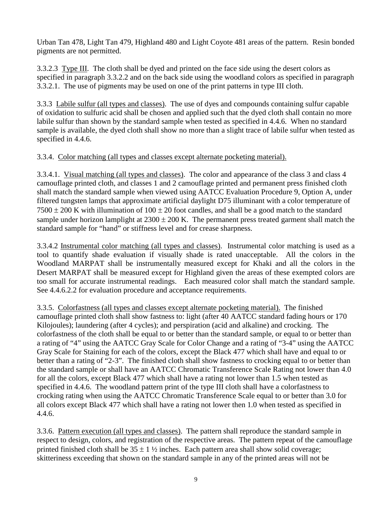Urban Tan 478, Light Tan 479, Highland 480 and Light Coyote 481 areas of the pattern. Resin bonded pigments are not permitted.

3.3.2.3 Type III. The cloth shall be dyed and printed on the face side using the desert colors as specified in paragraph 3.3.2.2 and on the back side using the woodland colors as specified in paragraph 3.3.2.1. The use of pigments may be used on one of the print patterns in type III cloth.

3.3.3 Labile sulfur (all types and classes). The use of dyes and compounds containing sulfur capable of oxidation to sulfuric acid shall be chosen and applied such that the dyed cloth shall contain no more labile sulfur than shown by the standard sample when tested as specified in 4.4.6. When no standard sample is available, the dyed cloth shall show no more than a slight trace of labile sulfur when tested as specified in 4.4.6.

# 3.3.4. Color matching (all types and classes except alternate pocketing material).

3.3.4.1. Visual matching (all types and classes). The color and appearance of the class 3 and class 4 camouflage printed cloth, and classes 1 and 2 camouflage printed and permanent press finished cloth shall match the standard sample when viewed using AATCC Evaluation Procedure 9, Option A, under filtered tungsten lamps that approximate artificial daylight D75 illuminant with a color temperature of  $7500 \pm 200$  K with illumination of  $100 \pm 20$  foot candles, and shall be a good match to the standard sample under horizon lamplight at  $2300 \pm 200$  K. The permanent press treated garment shall match the standard sample for "hand" or stiffness level and for crease sharpness.

3.3.4.2 Instrumental color matching (all types and classes). Instrumental color matching is used as a tool to quantify shade evaluation if visually shade is rated unacceptable. All the colors in the Woodland MARPAT shall be instrumentally measured except for Khaki and all the colors in the Desert MARPAT shall be measured except for Highland given the areas of these exempted colors are too small for accurate instrumental readings. Each measured color shall match the standard sample. See 4.4.6.2.2 for evaluation procedure and acceptance requirements.

3.3.5. Colorfastness (all types and classes except alternate pocketing material). The finished camouflage printed cloth shall show fastness to: light (after 40 AATCC standard fading hours or 170 Kilojoules); laundering (after 4 cycles); and perspiration (acid and alkaline) and crocking. The colorfastness of the cloth shall be equal to or better than the standard sample, or equal to or better than a rating of "4" using the AATCC Gray Scale for Color Change and a rating of "3-4" using the AATCC Gray Scale for Staining for each of the colors, except the Black 477 which shall have and equal to or better than a rating of "2-3". The finished cloth shall show fastness to crocking equal to or better than the standard sample or shall have an AATCC Chromatic Transference Scale Rating not lower than 4.0 for all the colors, except Black 477 which shall have a rating not lower than 1.5 when tested as specified in 4.4.6. The woodland pattern print of the type III cloth shall have a colorfastness to crocking rating when using the AATCC Chromatic Transference Scale equal to or better than 3.0 for all colors except Black 477 which shall have a rating not lower then 1.0 when tested as specified in 4.4.6.

3.3.6. Pattern execution (all types and classes). The pattern shall reproduce the standard sample in respect to design, colors, and registration of the respective areas. The pattern repeat of the camouflage printed finished cloth shall be  $35 \pm 1$  % inches. Each pattern area shall show solid coverage; skitteriness exceeding that shown on the standard sample in any of the printed areas will not be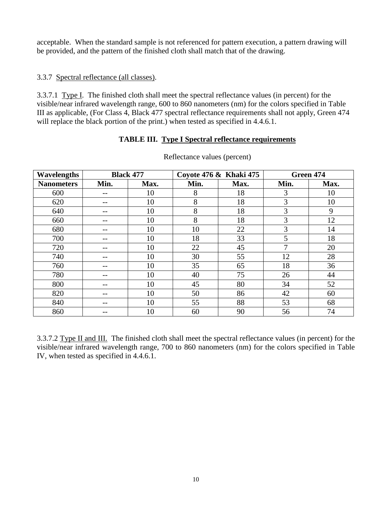acceptable. When the standard sample is not referenced for pattern execution, a pattern drawing will be provided, and the pattern of the finished cloth shall match that of the drawing.

## 3.3.7 Spectral reflectance (all classes).

3.3.7.1 Type I. The finished cloth shall meet the spectral reflectance values (in percent) for the visible/near infrared wavelength range, 600 to 860 nanometers (nm) for the colors specified in Table III as applicable, (For Class 4, Black 477 spectral reflectance requirements shall not apply, Green 474 will replace the black portion of the print.) when tested as specified in 4.4.6.1.

## **TABLE III. Type I Spectral reflectance requirements**

| <b>Wavelengths</b> |       | <b>Black 477</b> |      | Coyote 476 & Khaki 475 |      | Green 474 |
|--------------------|-------|------------------|------|------------------------|------|-----------|
| <b>Nanometers</b>  | Min.  | Max.             | Min. | Max.                   | Min. | Max.      |
| 600                | $- -$ | 10               | 8    | 18                     | 3    | 10        |
| 620                |       | 10               | 8    | 18                     | 3    | 10        |
| 640                |       | 10               | 8    | 18                     | 3    | 9         |
| 660                |       | 10               | 8    | 18                     | 3    | 12        |
| 680                |       | 10               | 10   | 22                     | 3    | 14        |
| 700                |       | 10               | 18   | 33                     | 5    | 18        |
| 720                | --    | 10               | 22   | 45                     | 7    | 20        |
| 740                |       | 10               | 30   | 55                     | 12   | 28        |
| 760                |       | 10               | 35   | 65                     | 18   | 36        |
| 780                |       | 10               | 40   | 75                     | 26   | 44        |
| 800                |       | 10               | 45   | 80                     | 34   | 52        |
| 820                |       | 10               | 50   | 86                     | 42   | 60        |
| 840                | $- -$ | 10               | 55   | 88                     | 53   | 68        |
| 860                |       | 10               | 60   | 90                     | 56   | 74        |

Reflectance values (percent)

3.3.7.2 Type II and III. The finished cloth shall meet the spectral reflectance values (in percent) for the visible/near infrared wavelength range, 700 to 860 nanometers (nm) for the colors specified in Table IV, when tested as specified in 4.4.6.1.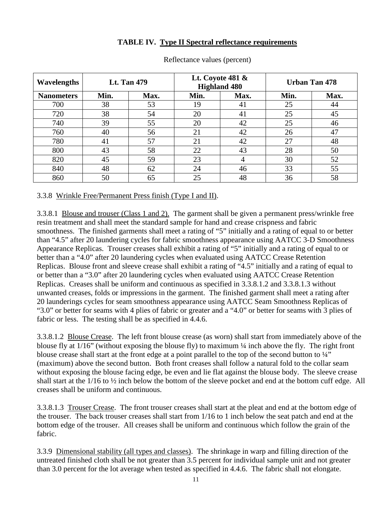## **TABLE IV. Type II Spectral reflectance requirements**

| <b>Wavelengths</b> | <b>Lt. Tan 479</b> |      | Lt. Coyote 481 &<br><b>Highland 480</b> |      | <b>Urban Tan 478</b> |      |
|--------------------|--------------------|------|-----------------------------------------|------|----------------------|------|
| <b>Nanometers</b>  | Min.               | Max. | Min.                                    | Max. | Min.                 | Max. |
| 700                | 38                 | 53   | 19                                      | 41   | 25                   | 44   |
| 720                | 38                 | 54   | 20                                      | 41   | 25                   | 45   |
| 740                | 39                 | 55   | 20                                      | 42   | 25                   | 46   |
| 760                | 40                 | 56   | 21                                      | 42   | 26                   | 47   |
| 780                | 41                 | 57   | 21                                      | 42   | 27                   | 48   |
| 800                | 43                 | 58   | 22                                      | 43   | 28                   | 50   |
| 820                | 45                 | 59   | 23                                      | 4    | 30                   | 52   |
| 840                | 48                 | 62   | 24                                      | 46   | 33                   | 55   |
| 860                | 50                 | 65   | 25                                      | 48   | 36                   | 58   |

Reflectance values (percent)

#### 3.3.8 Wrinkle Free/Permanent Press finish (Type I and II).

3.3.8.1 Blouse and trouser (Class 1 and 2). The garment shall be given a permanent press/wrinkle free resin treatment and shall meet the standard sample for hand and crease crispness and fabric smoothness. The finished garments shall meet a rating of "5" initially and a rating of equal to or better than "4.5" after 20 laundering cycles for fabric smoothness appearance using AATCC 3-D Smoothness Appearance Replicas. Trouser creases shall exhibit a rating of "5" initially and a rating of equal to or better than a "4.0" after 20 laundering cycles when evaluated using AATCC Crease Retention Replicas. Blouse front and sleeve crease shall exhibit a rating of "4.5" initially and a rating of equal to or better than a "3.0" after 20 laundering cycles when evaluated using AATCC Crease Retention Replicas. Creases shall be uniform and continuous as specified in 3.3.8.1.2 and 3.3.8.1.3 without unwanted creases, folds or impressions in the garment. The finished garment shall meet a rating after 20 launderings cycles for seam smoothness appearance using AATCC Seam Smoothness Replicas of "3.0" or better for seams with 4 plies of fabric or greater and a "4.0" or better for seams with 3 plies of fabric or less. The testing shall be as specified in 4.4.6.

3.3.8.1.2 Blouse Crease. The left front blouse crease (as worn) shall start from immediately above of the blouse fly at 1/16" (without exposing the blouse fly) to maximum ¼ inch above the fly. The right front blouse crease shall start at the front edge at a point parallel to the top of the second button to ¼" (maximum) above the second button. Both front creases shall follow a natural fold to the collar seam without exposing the blouse facing edge, be even and lie flat against the blouse body. The sleeve crease shall start at the 1/16 to ½ inch below the bottom of the sleeve pocket and end at the bottom cuff edge. All creases shall be uniform and continuous.

3.3.8.1.3 Trouser Crease. The front trouser creases shall start at the pleat and end at the bottom edge of the trouser. The back trouser creases shall start from 1/16 to 1 inch below the seat patch and end at the bottom edge of the trouser. All creases shall be uniform and continuous which follow the grain of the fabric.

3.3.9 Dimensional stability (all types and classes). The shrinkage in warp and filling direction of the untreated finished cloth shall be not greater than 3.5 percent for individual sample unit and not greater than 3.0 percent for the lot average when tested as specified in 4.4.6. The fabric shall not elongate.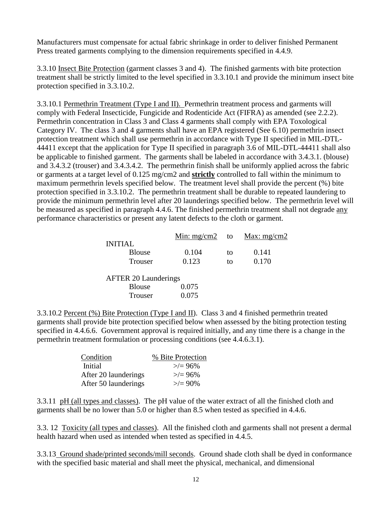Manufacturers must compensate for actual fabric shrinkage in order to deliver finished Permanent Press treated garments complying to the dimension requirements specified in 4.4.9.

3.3.10 Insect Bite Protection (garment classes 3 and 4). The finished garments with bite protection treatment shall be strictly limited to the level specified in 3.3.10.1 and provide the minimum insect bite protection specified in 3.3.10.2.

3.3.10.1 Permethrin Treatment (Type I and II). Permethrin treatment process and garments will comply with Federal Insecticide, Fungicide and Rodenticide Act (FIFRA) as amended (see 2.2.2). Permethrin concentration in Class 3 and Class 4 garments shall comply with EPA Toxological Category IV. The class 3 and 4 garments shall have an EPA registered (See 6.10) permethrin insect protection treatment which shall use permethrin in accordance with Type II specified in MIL-DTL-44411 except that the application for Type II specified in paragraph 3.6 of MIL-DTL-44411 shall also be applicable to finished garment. The garments shall be labeled in accordance with 3.4.3.1. (blouse) and 3.4.3.2 (trouser) and 3.4.3.4.2. The permethrin finish shall be uniformly applied across the fabric or garments at a target level of 0.125 mg/cm2 and **strictly** controlled to fall within the minimum to maximum permethrin levels specified below. The treatment level shall provide the percent (%) bite protection specified in 3.3.10.2. The permethrin treatment shall be durable to repeated laundering to provide the minimum permethrin level after 20 launderings specified below. The permethrin level will be measured as specified in paragraph 4.4.6. The finished permethrin treatment shall not degrade any performance characteristics or present any latent defects to the cloth or garment.

|                             | Min: $mg/cm2$ | to | Max: $mg/cm2$ |
|-----------------------------|---------------|----|---------------|
| <b>INITIAL</b>              |               |    |               |
| <b>Blouse</b>               | 0.104         | to | 0.141         |
| Trouser                     | 0.123         | to | 0.170         |
| <b>AFTER 20 Launderings</b> |               |    |               |
| <b>Blouse</b>               | 0.075         |    |               |
| Trouser                     | 0.075         |    |               |
|                             |               |    |               |

3.3.10.2 Percent (%) Bite Protection (Type I and II). Class 3 and 4 finished permethrin treated garments shall provide bite protection specified below when assessed by the biting protection testing specified in 4.4.6.6. Government approval is required initially, and any time there is a change in the permethrin treatment formulation or processing conditions (see 4.4.6.3.1).

| Condition            | % Bite Protection |
|----------------------|-------------------|
| Initial              | $\geq$ = 96%      |
| After 20 launderings | $\ge$ /= 96%      |
| After 50 launderings | $\geq$ = 90%      |

3.3.11 pH (all types and classes). The pH value of the water extract of all the finished cloth and garments shall be no lower than 5.0 or higher than 8.5 when tested as specified in 4.4.6.

3.3. 12 Toxicity (all types and classes). All the finished cloth and garments shall not present a dermal health hazard when used as intended when tested as specified in 4.4.5.

3.3.13 Ground shade/printed seconds/mill seconds. Ground shade cloth shall be dyed in conformance with the specified basic material and shall meet the physical, mechanical, and dimensional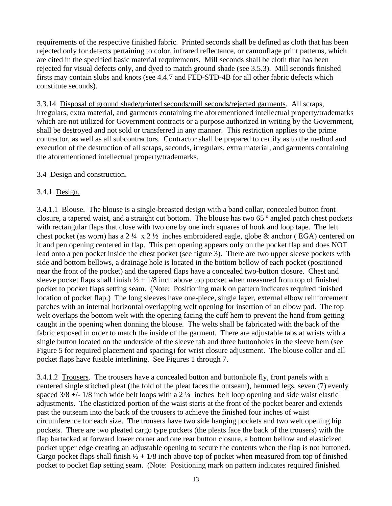requirements of the respective finished fabric. Printed seconds shall be defined as cloth that has been rejected only for defects pertaining to color, infrared reflectance, or camouflage print patterns, which are cited in the specified basic material requirements. Mill seconds shall be cloth that has been rejected for visual defects only, and dyed to match ground shade (see 3.5.3). Mill seconds finished firsts may contain slubs and knots (see 4.4.7 and FED-STD-4B for all other fabric defects which constitute seconds).

3.3.14 Disposal of ground shade/printed seconds/mill seconds/rejected garments. All scraps, irregulars, extra material, and garments containing the aforementioned intellectual property/trademarks which are not utilized for Government contracts or a purpose authorized in writing by the Government, shall be destroyed and not sold or transferred in any manner. This restriction applies to the prime contractor, as well as all subcontractors. Contractor shall be prepared to certify as to the method and execution of the destruction of all scraps, seconds, irregulars, extra material, and garments containing the aforementioned intellectual property/trademarks.

## 3.4 Design and construction.

## 3.4.1 Design.

3.4.1.1 Blouse. The blouse is a single-breasted design with a band collar, concealed button front closure, a tapered waist, and a straight cut bottom. The blouse has two 65 º angled patch chest pockets with rectangular flaps that close with two one by one inch squares of hook and loop tape. The left chest pocket (as worn) has a  $2\frac{1}{4} \times 2\frac{1}{2}$  inches embroidered eagle, globe & anchor (EGA) centered on it and pen opening centered in flap. This pen opening appears only on the pocket flap and does NOT lead onto a pen pocket inside the chest pocket (see figure 3). There are two upper sleeve pockets with side and bottom bellows, a drainage hole is located in the bottom bellow of each pocket (positioned near the front of the pocket) and the tapered flaps have a concealed two-button closure. Chest and sleeve pocket flaps shall finish  $\frac{1}{2} + \frac{1}{8}$  inch above top pocket when measured from top of finished pocket to pocket flaps setting seam. (Note: Positioning mark on pattern indicates required finished location of pocket flap.) The long sleeves have one-piece, single layer, external elbow reinforcement patches with an internal horizontal overlapping welt opening for insertion of an elbow pad. The top welt overlaps the bottom welt with the opening facing the cuff hem to prevent the hand from getting caught in the opening when donning the blouse. The welts shall be fabricated with the back of the fabric exposed in order to match the inside of the garment. There are adjustable tabs at wrists with a single button located on the underside of the sleeve tab and three buttonholes in the sleeve hem (see Figure 5 for required placement and spacing) for wrist closure adjustment. The blouse collar and all pocket flaps have fusible interlining. See Figures 1 through 7.

3.4.1.2 Trousers. The trousers have a concealed button and buttonhole fly, front panels with a centered single stitched pleat (the fold of the pleat faces the outseam), hemmed legs, seven (7) evenly spaced  $3/8 +1/8$  inch wide belt loops with a 2  $\frac{1}{4}$  inches belt loop opening and side waist elastic adjustments. The elasticized portion of the waist starts at the front of the pocket bearer and extends past the outseam into the back of the trousers to achieve the finished four inches of waist circumference for each size. The trousers have two side hanging pockets and two welt opening hip pockets. There are two pleated cargo type pockets (the pleats face the back of the trousers) with the flap bartacked at forward lower corner and one rear button closure, a bottom bellow and elasticized pocket upper edge creating an adjustable opening to secure the contents when the flap is not buttoned. Cargo pocket flaps shall finish  $\frac{1}{2} + \frac{1}{8}$  inch above top of pocket when measured from top of finished pocket to pocket flap setting seam. (Note: Positioning mark on pattern indicates required finished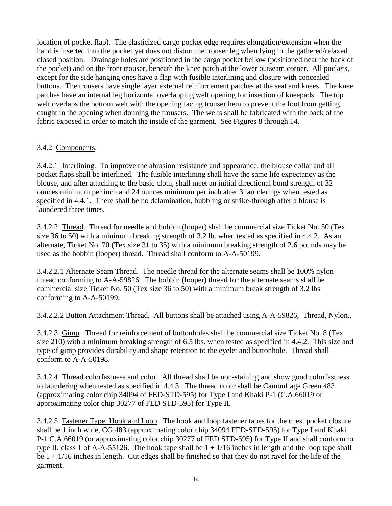location of pocket flap). The elasticized cargo pocket edge requires elongation/extension when the hand is inserted into the pocket yet does not distort the trouser leg when lying in the gathered/relaxed closed position. Drainage holes are positioned in the cargo pocket bellow (positioned near the back of the pocket) and on the front trouser, beneath the knee patch at the lower outseam corner. All pockets, except for the side hanging ones have a flap with fusible interlining and closure with concealed buttons. The trousers have single layer external reinforcement patches at the seat and knees. The knee patches have an internal leg horizontal overlapping welt opening for insertion of kneepads. The top welt overlaps the bottom welt with the opening facing trouser hem to prevent the foot from getting caught in the opening when donning the trousers. The welts shall be fabricated with the back of the fabric exposed in order to match the inside of the garment. See Figures 8 through 14.

# 3.4.2 Components.

3.4.2.1 Interlining. To improve the abrasion resistance and appearance, the blouse collar and all pocket flaps shall be interlined. The fusible interlining shall have the same life expectancy as the blouse, and after attaching to the basic cloth, shall meet an initial directional bond strength of 32 ounces minimum per inch and 24 ounces minimum per inch after 3 launderings when tested as specified in 4.4.1. There shall be no delamination, bubbling or strike-through after a blouse is laundered three times.

3.4.2.2 Thread. Thread for needle and bobbin (looper) shall be commercial size Ticket No. 50 (Tex size 36 to 50) with a minimum breaking strength of 3.2 lb. when tested as specified in 4.4.2. As an alternate, Ticket No. 70 (Tex size 31 to 35) with a minimum breaking strength of 2.6 pounds may be used as the bobbin (looper) thread. Thread shall conform to A-A-50199.

3.4.2.2.1 Alternate Seam Thread. The needle thread for the alternate seams shall be 100% nylon thread conforming to A-A-59826. The bobbin (looper) thread for the alternate seams shall be commercial size Ticket No. 50 (Tex size 36 to 50) with a minimum break strength of 3.2 lbs conforming to A-A-50199.

3.4.2.2.2 Button Attachment Thread. All buttons shall be attached using A-A-59826, Thread, Nylon..

3.4.2.3 Gimp. Thread for reinforcement of buttonholes shall be commercial size Ticket No. 8 (Tex size 210) with a minimum breaking strength of 6.5 lbs. when tested as specified in 4.4.2. This size and type of gimp provides durability and shape retention to the eyelet and buttonhole. Thread shall conform to A-A-50198.

3.4.2.4 Thread colorfastness and color. All thread shall be non-staining and show good colorfastness to laundering when tested as specified in 4.4.3. The thread color shall be Camouflage Green 483 (approximating color chip 34094 of FED-STD-595) for Type I and Khaki P-1 (C.A.66019 or approximating color chip 30277 of FED STD-595) for Type II.

3.4.2.5 Fastener Tape, Hook and Loop. The hook and loop fastener tapes for the chest pocket closure shall be 1 inch wide, CG 483 (approximating color chip 34094 FED-STD-595) for Type I and Khaki P-1 C.A.66019 (or approximating color chip 30277 of FED STD-595) for Type II and shall conform to type II, class 1 of A-A-55126. The hook tape shall be  $1 + 1/16$  inches in length and the loop tape shall be  $1 \pm 1/16$  inches in length. Cut edges shall be finished so that they do not ravel for the life of the garment.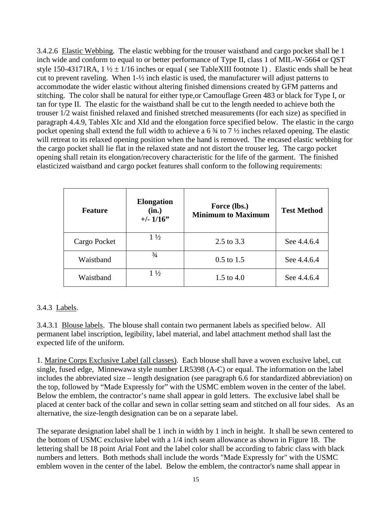3.4.2.6 Elastic Webbing. The elastic webbing for the trouser waistband and cargo pocket shall be 1 inch wide and conform to equal to or better performance of Type II, class 1 of MIL-W-5664 or QST style 150-43171RA,  $1\frac{1}{2} \pm 1/16$  inches or equal (see TableXIII footnote 1). Elastic ends shall be heat cut to prevent raveling. When 1-½ inch elastic is used, the manufacturer will adjust patterns to accommodate the wider elastic without altering finished dimensions created by GFM patterns and stitching. The color shall be natural for either type,or Camouflage Green 483 or black for Type I, or tan for type II. The elastic for the waistband shall be cut to the length needed to achieve both the trouser 1/2 waist finished relaxed and finished stretched measurements (for each size) as specified in paragraph 4.4.9, Tables XIc and XId and the elongation force specified below. The elastic in the cargo pocket opening shall extend the full width to achieve a 6 ¾ to 7 ½ inches relaxed opening. The elastic will retreat to its relaxed opening position when the hand is removed. The encased elastic webbing for the cargo pocket shall lie flat in the relaxed state and not distort the trouser leg. The cargo pocket opening shall retain its elongation/recovery characteristic for the life of the garment. The finished elasticized waistband and cargo pocket features shall conform to the following requirements:

| <b>Feature</b> | <b>Elongation</b><br>(in.)<br>$+/- 1/16$ " | Force (lbs.)<br><b>Minimum to Maximum</b> | <b>Test Method</b> |
|----------------|--------------------------------------------|-------------------------------------------|--------------------|
| Cargo Pocket   | $1\frac{1}{2}$                             | 2.5 to 3.3                                | See 4.4.6.4        |
| Waistband      | $\frac{3}{4}$                              | $0.5$ to 1.5                              | See 4.4.6.4        |
| Waistband      | $1\frac{1}{2}$                             | 1.5 to $4.0$                              | See 4.4.6.4        |

# 3.4.3 Labels.

3.4.3.1 Blouse labels. The blouse shall contain two permanent labels as specified below. All permanent label inscription, legibility, label material, and label attachment method shall last the expected life of the uniform.

1. Marine Corps Exclusive Label (all classes). Each blouse shall have a woven exclusive label, cut single, fused edge, Minnewawa style number LR5398 (A-C) or equal. The information on the label includes the abbreviated size – length designation (see paragraph 6.6 for standardized abbreviation) on the top, followed by "Made Expressly for" with the USMC emblem woven in the center of the label. Below the emblem, the contractor's name shall appear in gold letters. The exclusive label shall be placed at center back of the collar and sewn in collar setting seam and stitched on all four sides. As an alternative, the size-length designation can be on a separate label.

The separate designation label shall be 1 inch in width by 1 inch in height. It shall be sewn centered to the bottom of USMC exclusive label with a 1/4 inch seam allowance as shown in Figure 18. The lettering shall be 18 point Arial Font and the label color shall be according to fabric class with black numbers and letters. Both methods shall include the words "Made Expressly for" with the USMC emblem woven in the center of the label. Below the emblem, the contractor's name shall appear in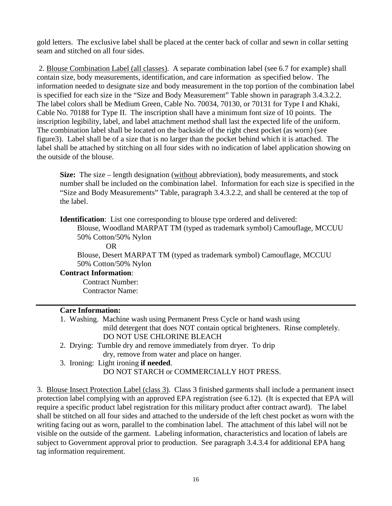gold letters. The exclusive label shall be placed at the center back of collar and sewn in collar setting seam and stitched on all four sides.

2. Blouse Combination Label (all classes). A separate combination label (see 6.7 for example) shall contain size, body measurements, identification, and care information as specified below. The information needed to designate size and body measurement in the top portion of the combination label is specified for each size in the "Size and Body Measurement" Table shown in paragraph 3.4.3.2.2. The label colors shall be Medium Green, Cable No. 70034, 70130, or 70131 for Type I and Khaki, Cable No. 70188 for Type II. The inscription shall have a minimum font size of 10 points. The inscription legibility, label, and label attachment method shall last the expected life of the uniform. The combination label shall be located on the backside of the right chest pocket (as worn) (see figure3). Label shall be of a size that is no larger than the pocket behind which it is attached. The label shall be attached by stitching on all four sides with no indication of label application showing on the outside of the blouse.

**Size:** The size – length designation (without abbreviation), body measurements, and stock number shall be included on the combination label. Information for each size is specified in the "Size and Body Measurements" Table, paragraph 3.4.3.2.2, and shall be centered at the top of the label.

**Identification**: List one corresponding to blouse type ordered and delivered:

Blouse, Woodland MARPAT TM (typed as trademark symbol) Camouflage, MCCUU 50% Cotton/50% Nylon

OR

Blouse, Desert MARPAT TM (typed as trademark symbol) Camouflage, MCCUU 50% Cotton/50% Nylon

**Contract Information**:

Contract Number: Contractor Name:

### **Care Information:**

- 1. Washing. Machine wash using Permanent Press Cycle or hand wash using mild detergent that does NOT contain optical brighteners. Rinse completely. DO NOT USE CHLORINE BLEACH
- 2. Drying: Tumble dry and remove immediately from dryer. To drip dry, remove from water and place on hanger.
- 3. Ironing: Light ironing **if needed**. DO NOT STARCH or COMMERCIALLY HOT PRESS.

3. Blouse Insect Protection Label (class 3). Class 3 finished garments shall include a permanent insect protection label complying with an approved EPA registration (see 6.12). (It is expected that EPA will require a specific product label registration for this military product after contract award). The label shall be stitched on all four sides and attached to the underside of the left chest pocket as worn with the writing facing out as worn, parallel to the combination label. The attachment of this label will not be visible on the outside of the garment. Labeling information, characteristics and location of labels are subject to Government approval prior to production. See paragraph 3.4.3.4 for additional EPA hang tag information requirement.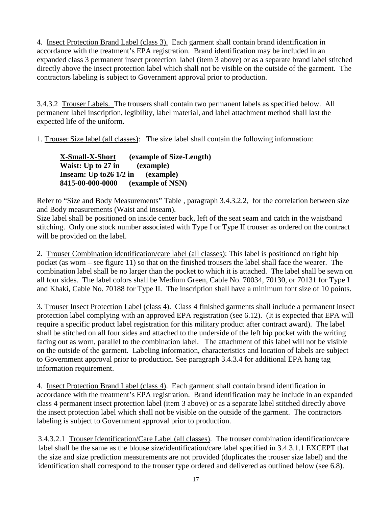4. Insect Protection Brand Label (class 3). Each garment shall contain brand identification in accordance with the treatment's EPA registration. Brand identification may be included in an expanded class 3 permanent insect protection label (item 3 above) or as a separate brand label stitched directly above the insect protection label which shall not be visible on the outside of the garment. The contractors labeling is subject to Government approval prior to production.

3.4.3.2 Trouser Labels. The trousers shall contain two permanent labels as specified below. All permanent label inscription, legibility, label material, and label attachment method shall last the expected life of the uniform.

1. Trouser Size label (all classes): The size label shall contain the following information:

**X-Small-X-Short (example of Size-Length) Waist: Up to 27 in (example) Inseam: Up to26 1/2 in** (example)<br>8415-00-000-0000 (example of NS) **(example of NSN)** 

Refer to "Size and Body Measurements" Table , paragraph 3.4.3.2.2, for the correlation between size and Body measurements (Waist and inseam).

Size label shall be positioned on inside center back, left of the seat seam and catch in the waistband stitching. Only one stock number associated with Type I or Type II trouser as ordered on the contract will be provided on the label.

2. Trouser Combination identification/care label (all classes): This label is positioned on right hip pocket (as worn – see figure 11) so that on the finished trousers the label shall face the wearer. The combination label shall be no larger than the pocket to which it is attached. The label shall be sewn on all four sides. The label colors shall be Medium Green, Cable No. 70034, 70130, or 70131 for Type I and Khaki, Cable No. 70188 for Type II. The inscription shall have a minimum font size of 10 points.

3. Trouser Insect Protection Label (class 4). Class 4 finished garments shall include a permanent insect protection label complying with an approved EPA registration (see 6.12). (It is expected that EPA will require a specific product label registration for this military product after contract award). The label shall be stitched on all four sides and attached to the underside of the left hip pocket with the writing facing out as worn, parallel to the combination label. The attachment of this label will not be visible on the outside of the garment. Labeling information, characteristics and location of labels are subject to Government approval prior to production. See paragraph 3.4.3.4 for additional EPA hang tag information requirement.

4. Insect Protection Brand Label (class 4). Each garment shall contain brand identification in accordance with the treatment's EPA registration. Brand identification may be include in an expanded class 4 permanent insect protection label (item 3 above) or as a separate label stitched directly above the insect protection label which shall not be visible on the outside of the garment. The contractors labeling is subject to Government approval prior to production.

3.4.3.2.1 Trouser Identification/Care Label (all classes). The trouser combination identification/care label shall be the same as the blouse size/identification/care label specified in 3.4.3.1.1 EXCEPT that the size and size prediction measurements are not provided (duplicates the trouser size label) and the identification shall correspond to the trouser type ordered and delivered as outlined below (see 6.8).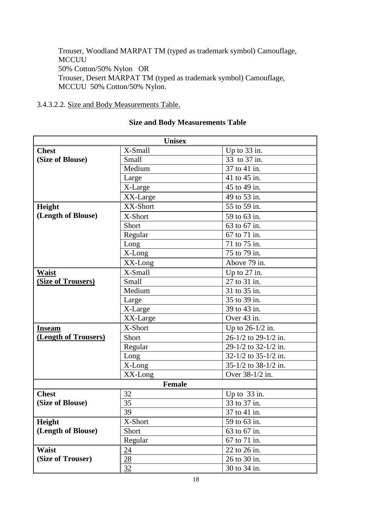Trouser, Woodland MARPAT TM (typed as trademark symbol) Camouflage, MCCUU 50% Cotton/50% Nylon OR Trouser, Desert MARPAT TM (typed as trademark symbol) Camouflage, MCCUU 50% Cotton/50% Nylon.

## 3.4.3.2.2. Size and Body Measurements Table.

| <b>Unisex</b>             |               |                                   |  |  |
|---------------------------|---------------|-----------------------------------|--|--|
| <b>Chest</b>              | X-Small       | Up to $33$ in.                    |  |  |
| (Size of Blouse)          | Small         | 33 to $37 \overline{\text{in}}$ . |  |  |
|                           | Medium        | 37 to 41 in.                      |  |  |
|                           | Large         | 41 to 45 in.                      |  |  |
|                           | X-Large       | 45 to 49 in.                      |  |  |
|                           | XX-Large      | 49 to 53 in.                      |  |  |
| Height                    | XX-Short      | 55 to 59 in.                      |  |  |
| (Length of Blouse)        | X-Short       | 59 to 63 in.                      |  |  |
|                           | Short         | 63 to 67 in.                      |  |  |
|                           | Regular       | 67 to 71 in.                      |  |  |
|                           | Long          | 71 to 75 in.                      |  |  |
|                           | X-Long        | 75 to 79 in.                      |  |  |
|                           | XX-Long       | Above 79 in.                      |  |  |
| Waist                     | X-Small       | Up to $27$ in.                    |  |  |
| <b>(Size of Trousers)</b> | Small         | 27 to 31 in.                      |  |  |
|                           | Medium        | 31 to 35 in.                      |  |  |
|                           | Large         | 35 to 39 in.                      |  |  |
|                           | X-Large       | 39 to 43 in.                      |  |  |
|                           | XX-Large      | Over 43 in.                       |  |  |
| <b>Inseam</b>             | X-Short       | Up to 26-1/2 in.                  |  |  |
| (Length of Trousers)      | Short         | 26-1/2 to 29-1/2 in.              |  |  |
|                           | Regular       | 29-1/2 to 32-1/2 in.              |  |  |
|                           | Long          | 32-1/2 to 35-1/2 in.              |  |  |
|                           | X-Long        | 35-1/2 to 38-1/2 in.              |  |  |
|                           | XX-Long       | Over 38-1/2 in.                   |  |  |
|                           | <b>Female</b> |                                   |  |  |
| <b>Chest</b>              | 32            | Up to 33 in.                      |  |  |
| (Size of Blouse)          | 35            | 33 to 37 in.                      |  |  |
|                           | 39            | 37 to 41 in.                      |  |  |
| Height                    | X-Short       | 59 to 63 in.                      |  |  |
| (Length of Blouse)        | Short         | 63 to 67 in.                      |  |  |
|                           | Regular       | 67 to 71 in.                      |  |  |
| <b>Waist</b>              | 24            | 22 to 26 in.                      |  |  |
| (Size of Trouser)         | 28            | 26 to 30 in.                      |  |  |
|                           | 32            | 30 to 34 in.                      |  |  |

# **Size and Body Measurements Table**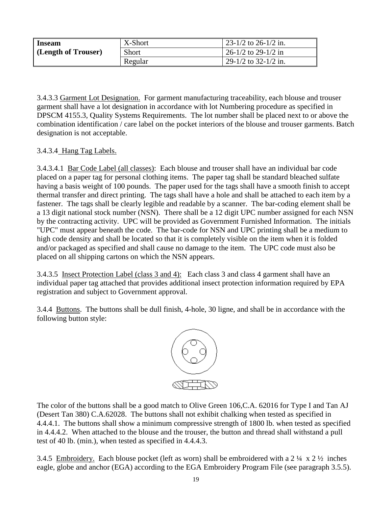| <b>Inseam</b>       | X-Short      | $\frac{1}{23}$ -1/2 to 26-1/2 in. |
|---------------------|--------------|-----------------------------------|
| (Length of Trouser) | <b>Short</b> | $26-1/2$ to 29-1/2 in             |
|                     | Regular      | $29-1/2$ to 32-1/2 in.            |

3.4.3.3 Garment Lot Designation. For garment manufacturing traceability, each blouse and trouser garment shall have a lot designation in accordance with lot Numbering procedure as specified in DPSCM 4155.3, Quality Systems Requirements. The lot number shall be placed next to or above the combination identification / care label on the pocket interiors of the blouse and trouser garments. Batch designation is not acceptable.

# 3.4.3.4 Hang Tag Labels.

3.4.3.4.1 Bar Code Label (all classes): Each blouse and trouser shall have an individual bar code placed on a paper tag for personal clothing items. The paper tag shall be standard bleached sulfate having a basis weight of 100 pounds. The paper used for the tags shall have a smooth finish to accept thermal transfer and direct printing. The tags shall have a hole and shall be attached to each item by a fastener. The tags shall be clearly legible and readable by a scanner. The bar-coding element shall be a 13 digit national stock number (NSN). There shall be a 12 digit UPC number assigned for each NSN by the contracting activity. UPC will be provided as Government Furnished Information. The initials "UPC" must appear beneath the code. The bar-code for NSN and UPC printing shall be a medium to high code density and shall be located so that it is completely visible on the item when it is folded and/or packaged as specified and shall cause no damage to the item. The UPC code must also be placed on all shipping cartons on which the NSN appears.

3.4.3.5 Insect Protection Label (class 3 and 4): Each class 3 and class 4 garment shall have an individual paper tag attached that provides additional insect protection information required by EPA registration and subject to Government approval.

3.4.4 Buttons. The buttons shall be dull finish, 4-hole, 30 ligne, and shall be in accordance with the following button style:



The color of the buttons shall be a good match to Olive Green 106,C.A. 62016 for Type I and Tan AJ (Desert Tan 380) C.A.62028. The buttons shall not exhibit chalking when tested as specified in 4.4.4.1. The buttons shall show a minimum compressive strength of 1800 lb. when tested as specified in 4.4.4.2. When attached to the blouse and the trouser, the button and thread shall withstand a pull test of 40 lb. (min.), when tested as specified in 4.4.4.3.

3.4.5 Embroidery. Each blouse pocket (left as worn) shall be embroidered with a 2  $\frac{1}{4} \times 2 \frac{1}{2}$  inches eagle, globe and anchor (EGA) according to the EGA Embroidery Program File (see paragraph 3.5.5).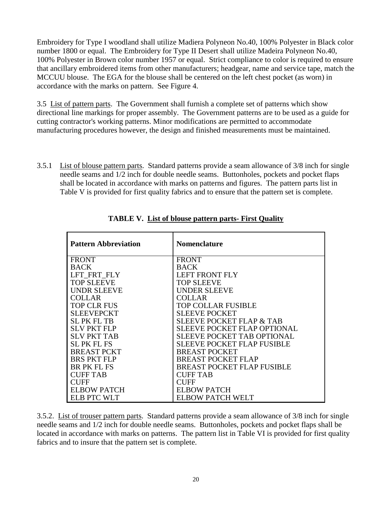Embroidery for Type I woodland shall utilize Madiera Polyneon No.40, 100% Polyester in Black color number 1800 or equal. The Embroidery for Type II Desert shall utilize Madeira Polyneon No.40, 100% Polyester in Brown color number 1957 or equal. Strict compliance to color is required to ensure that ancillary embroidered items from other manufacturers; headgear, name and service tape, match the MCCUU blouse. The EGA for the blouse shall be centered on the left chest pocket (as worn) in accordance with the marks on pattern. See Figure 4.

3.5 List of pattern parts. The Government shall furnish a complete set of patterns which show directional line markings for proper assembly. The Government patterns are to be used as a guide for cutting contractor's working patterns. Minor modifications are permitted to accommodate manufacturing procedures however, the design and finished measurements must be maintained.

3.5.1 List of blouse pattern parts. Standard patterns provide a seam allowance of 3/8 inch for single needle seams and 1/2 inch for double needle seams. Buttonholes, pockets and pocket flaps shall be located in accordance with marks on patterns and figures. The pattern parts list in Table V is provided for first quality fabrics and to ensure that the pattern set is complete.

| <b>Pattern Abbreviation</b> | <b>Nomenclature</b>                 |
|-----------------------------|-------------------------------------|
| <b>FRONT</b>                | <b>FRONT</b>                        |
| <b>BACK</b>                 | <b>BACK</b>                         |
| LFT FRT FLY                 | <b>LEFT FRONT FLY</b>               |
| <b>TOP SLEEVE</b>           | <b>TOP SLEEVE</b>                   |
| <b>UNDR SLEEVE</b>          | <b>UNDER SLEEVE</b>                 |
| <b>COLLAR</b>               | <b>COLLAR</b>                       |
| <b>TOP CLR FUS</b>          | TOP COLLAR FUSIBLE                  |
| <b>SLEEVEPCKT</b>           | <b>SLEEVE POCKET</b>                |
| <b>SLPK FLTB</b>            | <b>SLEEVE POCKET FLAP &amp; TAB</b> |
| <b>SLV PKT FLP</b>          | <b>SLEEVE POCKET FLAP OPTIONAL</b>  |
| <b>SLV PKT TAB</b>          | SLEEVE POCKET TAB OPTIONAL          |
| <b>SLPKFLFS</b>             | <b>SLEEVE POCKET FLAP FUSIBLE</b>   |
| <b>BREAST PCKT</b>          | <b>BREAST POCKET</b>                |
| <b>BRS PKT FLP</b>          | <b>BREAST POCKET FLAP</b>           |
| <b>BR PK FL FS</b>          | <b>BREAST POCKET FLAP FUSIBLE</b>   |
| <b>CUFF TAB</b>             | <b>CUFF TAB</b>                     |
| <b>CUFF</b>                 | <b>CUFF</b>                         |
| <b>ELBOW PATCH</b>          | <b>ELBOW PATCH</b>                  |
| <b>ELB PTC WLT</b>          | ELBOW PATCH WELT                    |

**TABLE V. List of blouse pattern parts- First Quality**

3.5.2. List of trouser pattern parts. Standard patterns provide a seam allowance of 3/8 inch for single needle seams and 1/2 inch for double needle seams. Buttonholes, pockets and pocket flaps shall be located in accordance with marks on patterns. The pattern list in Table VI is provided for first quality fabrics and to insure that the pattern set is complete.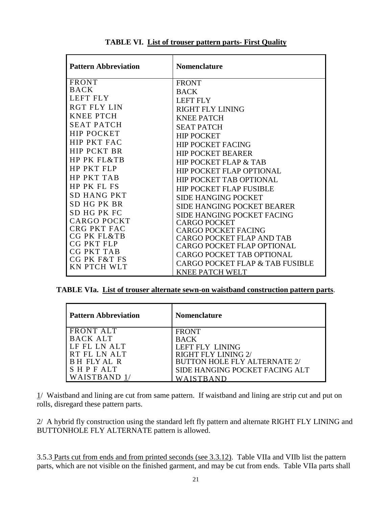| <b>Pattern Abbreviation</b>       | <b>Nomenclature</b>               |
|-----------------------------------|-----------------------------------|
| <b>FRONT</b>                      | <b>FRONT</b>                      |
| <b>BACK</b>                       | <b>BACK</b>                       |
| <b>LEFT FLY</b>                   | <b>LEFT FLY</b>                   |
| <b>RGT FLY LIN</b>                | <b>RIGHT FLY LINING</b>           |
| <b>KNEE PTCH</b>                  | <b>KNEE PATCH</b>                 |
| <b>SEAT PATCH</b>                 | <b>SEAT PATCH</b>                 |
| <b>HIP POCKET</b>                 | <b>HIP POCKET</b>                 |
| <b>HIP PKT FAC</b>                | <b>HIP POCKET FACING</b>          |
| <b>HIP PCKT BR</b>                | <b>HIP POCKET BEARER</b>          |
| HP PK FL&TB                       | <b>HIP POCKET FLAP &amp; TAB</b>  |
| <b>HP PKT FLP</b>                 | <b>HIP POCKET FLAP OPTIONAL</b>   |
| <b>HP PKT TAB</b>                 | <b>HIP POCKET TAB OPTIONAL</b>    |
| <b>HP PK FL FS</b>                | <b>HIP POCKET FLAP FUSIBLE</b>    |
| <b>SD HANG PKT</b>                | <b>SIDE HANGING POCKET</b>        |
| SD HG PK BR                       | SIDE HANGING POCKET BEARER        |
| SD HG PK FC                       | SIDE HANGING POCKET FACING        |
| CARGO POCKT                       | <b>CARGO POCKET</b>               |
| CRG PKT FAC                       | <b>CARGO POCKET FACING</b>        |
| CG PK FL&TB                       | <b>CARGO POCKET FLAP AND TAB</b>  |
| CG PKT FLP                        | <b>CARGO POCKET FLAP OPTIONAL</b> |
| <b>CG PKT TAB</b><br>CG PK F&T FS | <b>CARGO POCKET TAB OPTIONAL</b>  |
| <b>KN PTCH WLT</b>                | CARGO POCKET FLAP & TAB FUSIBLE   |
|                                   | <b>KNEE PATCH WELT</b>            |

**TABLE VI. List of trouser pattern parts- First Quality**

**TABLE VIa. List of trouser alternate sewn-on waistband construction pattern parts**.

| <b>Pattern Abbreviation</b> | <b>Nomenclature</b>                 |
|-----------------------------|-------------------------------------|
| <b>FRONT ALT</b>            | <b>FRONT</b>                        |
| BACK ALT                    | <b>BACK</b>                         |
| LF FL LN ALT                | LEFT FLY LINING                     |
| RT FL LN ALT                | RIGHT FLY LINING 2/                 |
| BH FLY AL R                 | <b>BUTTON HOLE FLY ALTERNATE 2/</b> |
| <b>SHPFALT</b>              | SIDE HANGING POCKET FACING ALT      |
| WAISTBAND                   |                                     |

1/ Waistband and lining are cut from same pattern. If waistband and lining are strip cut and put on rolls, disregard these pattern parts.

2/ A hybrid fly construction using the standard left fly pattern and alternate RIGHT FLY LINING and BUTTONHOLE FLY ALTERNATE pattern is allowed.

3.5.3 Parts cut from ends and from printed seconds (see 3.3.12). Table VIIa and VIIb list the pattern parts, which are not visible on the finished garment, and may be cut from ends. Table VIIa parts shall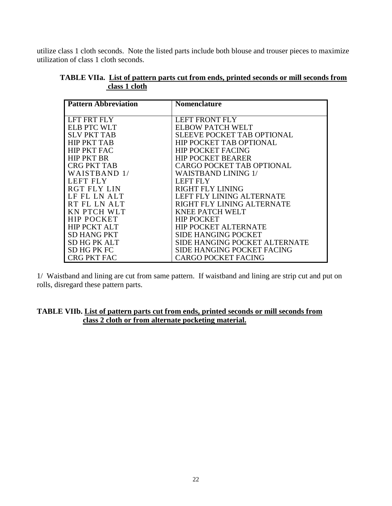utilize class 1 cloth seconds. Note the listed parts include both blouse and trouser pieces to maximize utilization of class 1 cloth seconds.

| <b>Pattern Abbreviation</b> | <b>Nomenclature</b>                  |
|-----------------------------|--------------------------------------|
|                             |                                      |
| LFT FRT FLY                 | <b>LEFT FRONT FLY</b>                |
| <b>ELB PTC WLT</b>          | ELBOW PATCH WELT                     |
| <b>SLV PKT TAB</b>          | <b>SLEEVE POCKET TAB OPTIONAL</b>    |
| <b>HIP PKT TAB</b>          | <b>HIP POCKET TAB OPTIONAL</b>       |
| <b>HIP PKT FAC</b>          | <b>HIP POCKET FACING</b>             |
| <b>HIP PKT BR</b>           | <b>HIP POCKET BEARER</b>             |
| <b>CRG PKT TAB</b>          | <b>CARGO POCKET TAB OPTIONAL</b>     |
| WAISTBAND 1/                | <b>WAISTBAND LINING 1/</b>           |
| <b>LEFT FLY</b>             | LEFT FLY                             |
| <b>RGT FLY LIN</b>          | RIGHT FLY LINING                     |
| LF FL LN ALT                | LEFT FLY LINING ALTERNATE            |
| RT FL LN ALT                | RIGHT FLY LINING ALTERNATE           |
| <b>KN PTCH WLT</b>          | <b>KNEE PATCH WELT</b>               |
| <b>HIP POCKET</b>           | <b>HIP POCKET</b>                    |
| <b>HIP PCKT ALT</b>         | <b>HIP POCKET ALTERNATE</b>          |
| <b>SD HANG PKT</b>          | <b>SIDE HANGING POCKET</b>           |
| <b>SD HG PK ALT</b>         | <b>SIDE HANGING POCKET ALTERNATE</b> |
| <b>SD HG PK FC</b>          | <b>SIDE HANGING POCKET FACING</b>    |
| <b>CRG PKT FAC</b>          | <b>CARGO POCKET FACING</b>           |

## **TABLE VIIa. List of pattern parts cut from ends, printed seconds or mill seconds from class 1 cloth**

1/ Waistband and lining are cut from same pattern. If waistband and lining are strip cut and put on rolls, disregard these pattern parts.

## **TABLE VIIb. List of pattern parts cut from ends, printed seconds or mill seconds from class 2 cloth or from alternate pocketing material.**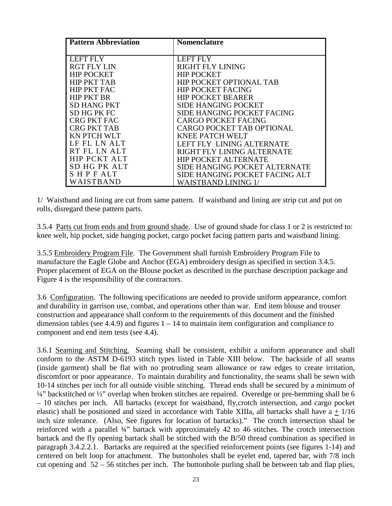| <b>Pattern Abbreviation</b> | <b>Nomenclature</b>               |
|-----------------------------|-----------------------------------|
|                             |                                   |
| LEFT FLY                    | <b>LEFT FLY</b>                   |
| <b>RGT FLY LIN</b>          | RIGHT FLY LINING                  |
| <b>HIP POCKET</b>           | <b>HIP POCKET</b>                 |
| <b>HIP PKT TAB</b>          | HIP POCKET OPTIONAL TAB           |
| <b>HIP PKT FAC</b>          | <b>HIP POCKET FACING</b>          |
| <b>HIP PKT BR</b>           | <b>HIP POCKET BEARER</b>          |
| <b>SD HANG PKT</b>          | <b>SIDE HANGING POCKET</b>        |
| <b>SD HG PK FC</b>          | <b>SIDE HANGING POCKET FACING</b> |
| <b>CRG PKT FAC</b>          | <b>CARGO POCKET FACING</b>        |
| <b>CRG PKT TAB</b>          | <b>CARGO POCKET TAB OPTIONAL</b>  |
| <b>KN PTCH WLT</b>          | <b>KNEE PATCH WELT</b>            |
| LF FL LN ALT                | LEFT FLY LINING ALTERNATE         |
| RT FL LN ALT                | RIGHT FLY LINING ALTERNATE        |
| <b>HIP PCKT ALT</b>         | <b>HIP POCKET ALTERNATE</b>       |
| SD HG PK ALT                | SIDE HANGING POCKET ALTERNATE     |
| SHPFALT                     | SIDE HANGING POCKET FACING ALT    |
| WAISTBAND                   | WAISTBAND LINING 1/               |

1/ Waistband and lining are cut from same pattern. If waistband and lining are strip cut and put on rolls, disregard these pattern parts.

3.5.4 Parts cut from ends and from ground shade. Use of ground shade for class 1 or 2 is restricted to: knee welt, hip pocket, side hanging pocket, cargo pocket facing pattern parts and waistband lining.

3.5.5 Embroidery Program File. The Government shall furnish Embroidery Program File to manufacture the Eagle Globe and Anchor (EGA) embroidery design as specified in section 3.4.5. Proper placement of EGA on the Blouse pocket as described in the purchase description package and Figure 4 is the responsibility of the contractors.

3.6 Configuration. The following specifications are needed to provide uniform appearance, comfort and durability in garrison use, combat, and operations other than war. End item blouse and trouser construction and appearance shall conform to the requirements of this document and the finished dimension tables (see 4.4.9) and figures  $1 - 14$  to maintain item configuration and compliance to component and end item tests (see 4.4).

3.6.1 Seaming and Stitching. Seaming shall be consistent, exhibit a uniform appearance and shall conform to the ASTM D-6193 stitch types listed in Table XIII below. The backside of all seams (inside garment) shall be flat with no protruding seam allowance or raw edges to create irritation, discomfort or poor appearance. To maintain durability and functionality, the seams shall be sewn with 10-14 stitches per inch for all outside visible stitching. Thread ends shall be secured by a minimum of  $\frac{1}{4}$ " backstitched or  $\frac{1}{2}$ " overlap when broken stitches are repaired. Overedge or pre-hemming shall be 6 – 10 stitches per inch. All bartacks (except for waistband, fly,crotch intersection, and cargo pocket elastic) shall be positioned and sized in accordance with Table XIIIa, all bartacks shall have  $a + 1/16$ inch size tolerance. (Also, See figures for location of bartacks)." The crotch intersection shaal be reinforced with a parallel ¾" bartack with approximately 42 to 46 stitches. The crotch intersection bartack and the fly opening bartack shall be stitched with the B/50 thread combination as specified in paragraph 3.4.2.2.1.Bartacks are required at the specified reinforcement points (see figures 1-14) and centered on belt loop for attachment. The buttonholes shall be eyelet end, tapered bar, with 7/8 inch cut opening and  $52 - 56$  stitches per inch. The buttonhole purling shall be between tab and flap plies,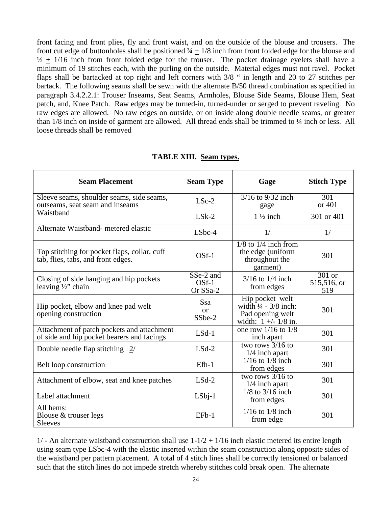front facing and front plies, fly and front waist, and on the outside of the blouse and trousers. The front cut edge of buttonholes shall be positioned  $\frac{3}{4} + \frac{1}{8}$  inch from front folded edge for the blouse and  $\frac{1}{2}$  + 1/16 inch from front folded edge for the trouser. The pocket drainage eyelets shall have a minimum of 19 stitches each, with the purling on the outside. Material edges must not ravel. Pocket flaps shall be bartacked at top right and left corners with 3/8 " in length and 20 to 27 stitches per bartack. The following seams shall be sewn with the alternate B/50 thread combination as specified in paragraph 3.4.2.2.1: Trouser Inseams, Seat Seams, Armholes, Blouse Side Seams, Blouse Hem, Seat patch, and, Knee Patch. Raw edges may be turned-in, turned-under or serged to prevent raveling. No raw edges are allowed. No raw edges on outside, or on inside along double needle seams, or greater than 1/8 inch on inside of garment are allowed. All thread ends shall be trimmed to ¼ inch or less. All loose threads shall be removed

| <b>Seam Placement</b>                                                                    | <b>Seam Type</b>                 | Gage                                                                                             | <b>Stitch Type</b>           |
|------------------------------------------------------------------------------------------|----------------------------------|--------------------------------------------------------------------------------------------------|------------------------------|
| Sleeve seams, shoulder seams, side seams,<br>outseams, seat seam and inseams             | $LSc-2$                          | $\frac{3}{16}$ to $\frac{9}{32}$ inch<br>gage                                                    | 301<br>or 401                |
| Waistband                                                                                | $LSk-2$                          | $1\frac{1}{2}$ inch                                                                              | 301 or 401                   |
| Alternate Waistband- metered elastic                                                     | $LSbc-4$                         | 1/                                                                                               | 1/                           |
| Top stitching for pocket flaps, collar, cuff<br>tab, flies, tabs, and front edges.       | OSf-1                            | $1/8$ to $1/4$ inch from<br>the edge (uniform<br>throughout the<br>garment)                      | 301                          |
| Closing of side hanging and hip pockets<br>leaving $\frac{1}{2}$ chain                   | SSe-2 and<br>$OSf-1$<br>Or SSa-2 | $3/16$ to $1/4$ inch<br>from edges                                                               | 301 or<br>515,516, or<br>519 |
| Hip pocket, elbow and knee pad welt<br>opening construction                              | Ssa<br>or<br>SSbe-2              | Hip pocket welt<br>width $\frac{1}{4}$ - 3/8 inch:<br>Pad opening welt<br>width: $1 +/- 1/8$ in. | 301                          |
| Attachment of patch pockets and attachment<br>of side and hip pocket bearers and facings | $LSd-1$                          | one row $1/16$ to $1/8$<br>inch apart                                                            | 301                          |
| Double needle flap stitching $2/$                                                        | $LSd-2$                          | two rows $3/16$ to<br>$1/4$ inch apart                                                           | 301                          |
| Belt loop construction                                                                   | $Efh-1$                          | $1/16$ to $1/8$ inch<br>from edges                                                               | 301                          |
| Attachment of elbow, seat and knee patches                                               | $LSd-2$                          | two rows $3/16$ to<br>$1/4$ inch apart                                                           | 301                          |
| Label attachment                                                                         | $LSbj-1$                         | $\sqrt{1/8}$ to 3/16 inch<br>from edges                                                          | 301                          |
| All hems:<br>Blouse & trouser legs<br>Sleeves                                            | $EFb-1$                          | $1/16$ to $1/8$ inch<br>from edge                                                                | 301                          |

## **TABLE XIII. Seam types.**

 $1/-$  An alternate waistband construction shall use  $1-1/2 + 1/16$  inch elastic metered its entire length using seam type LSbc-4 with the elastic inserted within the seam construction along opposite sides of the waistband per pattern placement. A total of 4 stitch lines shall be correctly tensioned or balanced such that the stitch lines do not impede stretch whereby stitches cold break open. The alternate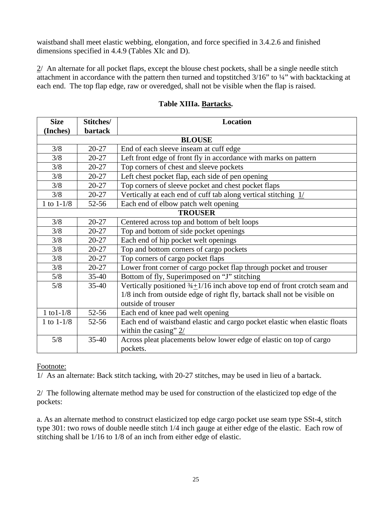waistband shall meet elastic webbing, elongation, and force specified in 3.4.2.6 and finished dimensions specified in 4.4.9 (Tables XIc and D).

2/ An alternate for all pocket flaps, except the blouse chest pockets, shall be a single needle stitch attachment in accordance with the pattern then turned and topstitched 3/16" to ¼" with backtacking at each end. The top flap edge, raw or overedged, shall not be visible when the flap is raised.

| <b>Size</b>    | Stitches/      | <b>Location</b>                                                                      |  |  |  |
|----------------|----------------|--------------------------------------------------------------------------------------|--|--|--|
| (Inches)       | <b>bartack</b> |                                                                                      |  |  |  |
|                | <b>BLOUSE</b>  |                                                                                      |  |  |  |
| 3/8            | $20 - 27$      | End of each sleeve inseam at cuff edge                                               |  |  |  |
| 3/8            | $20 - 27$      | Left front edge of front fly in accordance with marks on pattern                     |  |  |  |
| 3/8            | $20 - 27$      | Top corners of chest and sleeve pockets                                              |  |  |  |
| 3/8            | $20 - 27$      | Left chest pocket flap, each side of pen opening                                     |  |  |  |
| 3/8            | $20 - 27$      | Top corners of sleeve pocket and chest pocket flaps                                  |  |  |  |
| 3/8            | $20 - 27$      | Vertically at each end of cuff tab along vertical stitching $1/$                     |  |  |  |
| 1 to $1 - 1/8$ | 52-56          | Each end of elbow patch welt opening                                                 |  |  |  |
|                |                | <b>TROUSER</b>                                                                       |  |  |  |
| 3/8            | $20 - 27$      | Centered across top and bottom of belt loops                                         |  |  |  |
| 3/8            | $20 - 27$      | Top and bottom of side pocket openings                                               |  |  |  |
| 3/8            | $20 - 27$      | Each end of hip pocket welt openings                                                 |  |  |  |
| 3/8            | $20 - 27$      | Top and bottom corners of cargo pockets                                              |  |  |  |
| 3/8            | $20 - 27$      | Top corners of cargo pocket flaps                                                    |  |  |  |
| 3/8            | $20 - 27$      | Lower front corner of cargo pocket flap through pocket and trouser                   |  |  |  |
| 5/8            | $35-40$        | Bottom of fly, Superimposed on "J" stitching                                         |  |  |  |
| 5/8            | $35-40$        | Vertically positioned $\frac{3}{4}$ 1/16 inch above top end of front crotch seam and |  |  |  |
|                |                | 1/8 inch from outside edge of right fly, bartack shall not be visible on             |  |  |  |
|                |                | outside of trouser                                                                   |  |  |  |
| 1 to $1 - 1/8$ | $52 - 56$      | Each end of knee pad welt opening                                                    |  |  |  |
| 1 to $1-1/8$   | $52 - 56$      | Each end of waistband elastic and cargo pocket elastic when elastic floats           |  |  |  |
|                |                | within the casing" $2/$                                                              |  |  |  |
| 5/8            | $35 - 40$      | Across pleat placements below lower edge of elastic on top of cargo                  |  |  |  |
|                |                | pockets.                                                                             |  |  |  |

# **Table XIIIa. Bartacks.**

## Footnote:

1/ As an alternate: Back stitch tacking, with 20-27 stitches, may be used in lieu of a bartack.

2/ The following alternate method may be used for construction of the elasticized top edge of the pockets:

a. As an alternate method to construct elasticized top edge cargo pocket use seam type SSt-4, stitch type 301: two rows of double needle stitch 1/4 inch gauge at either edge of the elastic. Each row of stitching shall be 1/16 to 1/8 of an inch from either edge of elastic.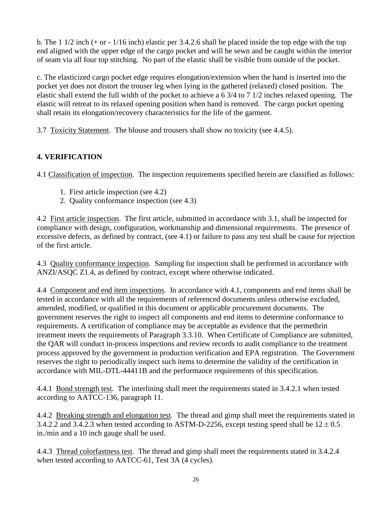b. The 1 1/2 inch (+ or - 1/16 inch) elastic per 3.4.2.6 shall be placed inside the top edge with the top end aligned with the upper edge of the cargo pocket and will be sewn and be caught within the interior of seam via all four top stitching. No part of the elastic shall be visible from outside of the pocket.

c. The elasticized cargo pocket edge requires elongation/extension when the hand is inserted into the pocket yet does not distort the trouser leg when lying in the gathered (relaxed) closed position. The elastic shall extend the full width of the pocket to achieve a 6 3/4 to 7 1/2 inches relaxed opening. The elastic will retreat to its relaxed opening position when hand is removed. The cargo pocket opening shall retain its elongation/recovery characteristics for the life of the garment.

3.7 Toxicity Statement. The blouse and trousers shall show no toxicity (see 4.4.5).

# **4. VERIFICATION**

4.1 Classification of inspection. The inspection requirements specified herein are classified as follows:

- 1. First article inspection (see 4.2)
- 2. Quality conformance inspection (see 4.3)

4.2 First article inspection. The first article, submitted in accordance with 3.1, shall be inspected for compliance with design, configuration, workmanship and dimensional requirements. The presence of excessive defects, as defined by contract, (see 4.1) or failure to pass any test shall be cause for rejection of the first article.

4.3 Quality conformance inspection. Sampling for inspection shall be performed in accordance with ANZI/ASQC Z1.4, as defined by contract, except where otherwise indicated.

4.4 Component and end item inspections. In accordance with 4.1, components and end items shall be tested in accordance with all the requirements of referenced documents unless otherwise excluded, amended, modified, or qualified in this document or applicable procurement documents. The government reserves the right to inspect all components and end items to determine conformance to requirements. A certification of compliance may be acceptable as evidence that the permethrin treatment meets the requirements of Paragraph 3.3.10. When Certificate of Compliance are submitted, the QAR will conduct in-process inspections and review records to audit compliance to the treatment process approved by the government in production verification and EPA registration. The Government reserves the right to periodically inspect such items to determine the validity of the certification in accordance with MIL-DTL-44411B and the performance requirements of this specification.

4.4.1 Bond strength test. The interlining shall meet the requirements stated in 3.4.2.1 when tested according to AATCC-136, paragraph 11.

4.4.2 Breaking strength and elongation test. The thread and gimp shall meet the requirements stated in 3.4.2.2 and 3.4.2.3 when tested according to ASTM-D-2256, except testing speed shall be  $12 \pm 0.5$ in./min and a 10 inch gauge shall be used.

4.4.3 Thread colorfastness test. The thread and gimp shall meet the requirements stated in 3.4.2.4 when tested according to AATCC-61, Test 3A (4 cycles).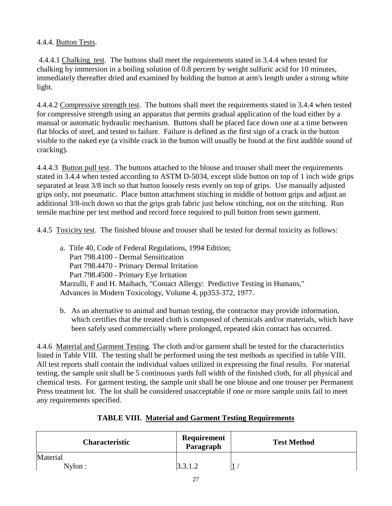# 4.4.4. Button Tests.

4.4.4.1 Chalking test. The buttons shall meet the requirements stated in 3.4.4 when tested for chalking by immersion in a boiling solution of 0.8 percent by weight sulfuric acid for 10 minutes, immediately thereafter dried and examined by holding the button at arm's length under a strong white light.

4.4.4.2 Compressive strength test. The buttons shall meet the requirements stated in 3.4.4 when tested for compressive strength using an apparatus that permits gradual application of the load either by a manual or automatic hydraulic mechanism. Buttons shall be placed face down one at a time between flat blocks of steel, and tested to failure. Failure is defined as the first sign of a crack in the button visible to the naked eye (a visible crack in the button will usually be found at the first audible sound of cracking).

4.4.4.3 Button pull test. The buttons attached to the blouse and trouser shall meet the requirements stated in 3.4.4 when tested according to ASTM D-5034, except slide button on top of 1 inch wide grips separated at least 3/8 inch so that button loosely rests evenly on top of grips. Use manually adjusted grips only, not pneumatic. Place button attachment stitching in middle of bottom grips and adjust an additional 3/8-inch down so that the grips grab fabric just below stitching, not on the stitching. Run tensile machine per test method and record force required to pull button from sewn garment.

4.4.5 Toxicity test. The finished blouse and trouser shall be tested for dermal toxicity as follows:

- a. Title 40, Code of Federal Regulations, 1994 Edition; Part 798.4100 - Dermal Sensitization Part 798.4470 - Primary Dermal Irritation Part 798.4500 - Primary Eye Irritation Marzulli, F and H. Maibach, "Contact Allergy: Predictive Testing in Humans," Advances in Modern Toxicology, Volume 4, pp353-372, 1977.
- b. As an alternative to animal and human testing, the contractor may provide information, which certifies that the treated cloth is composed of chemicals and/or materials, which have been safely used commercially where prolonged, repeated skin contact has occurred.

4.4.6 Material and Garment Testing. The cloth and/or garment shall be tested for the characteristics listed in Table VIII. The testing shall be performed using the test methods as specified in table VIII. All test reports shall contain the individual values utilized in expressing the final results. For material testing, the sample unit shall be 5 continuous yards full width of the finished cloth, for all physical and chemical tests. For garment testing, the sample unit shall be one blouse and one trouser per Permanent Press treatment lot. The lot shall be considered unacceptable if one or more sample units fail to meet any requirements specified.

| <b>Characteristic</b> | Requirement<br>Paragraph | <b>Test Method</b> |
|-----------------------|--------------------------|--------------------|
| Material<br>Nylon:    | 3.3.1.2                  |                    |

# **TABLE VIII. Material and Garment Testing Requirements**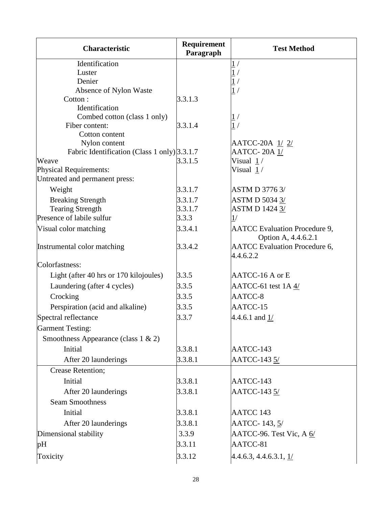| <b>Characteristic</b>                        | Requirement<br>Paragraph | <b>Test Method</b>                                          |
|----------------------------------------------|--------------------------|-------------------------------------------------------------|
| Identification                               |                          | 1/                                                          |
| Luster                                       |                          | $\overline{1}$                                              |
| Denier                                       |                          | $\overline{1}$                                              |
| Absence of Nylon Waste                       |                          | $\overline{1}$                                              |
| Cotton:<br>Identification                    | 3.3.1.3                  |                                                             |
| Combed cotton (class 1 only)                 |                          |                                                             |
| Fiber content:                               | 3.3.1.4                  | $\frac{1}{1}$ /                                             |
| Cotton content                               |                          |                                                             |
| Nylon content                                |                          | AATCC-20A 1/2/                                              |
| Fabric Identification (Class 1 only) 3.3.1.7 |                          | <b>AATCC-20A1/</b>                                          |
| Weave                                        | 3.3.1.5                  | Visual $1/$                                                 |
| Physical Requirements:                       |                          | Visual 1/                                                   |
| Untreated and permanent press:               |                          |                                                             |
| Weight                                       | 3.3.1.7                  | <b>ASTM D 3776 3/</b>                                       |
| <b>Breaking Strength</b>                     | 3.3.1.7                  | <b>ASTM D 5034 3/</b>                                       |
| <b>Tearing Strength</b>                      | 3.3.1.7                  | <b>ASTM D 1424 3/</b>                                       |
| Presence of labile sulfur                    | 3.3.3                    | 1/                                                          |
| Visual color matching                        | 3.3.4.1                  | <b>AATCC</b> Evaluation Procedure 9,<br>Option A, 4.4.6.2.1 |
| Instrumental color matching                  | 3.3.4.2                  | <b>AATCC</b> Evaluation Procedure 6,<br>4.4.6.2.2           |
| Colorfastness:                               |                          |                                                             |
| Light (after 40 hrs or 170 kilojoules)       | 3.3.5                    | AATCC-16 A or E                                             |
| Laundering (after 4 cycles)                  | 3.3.5                    | AATCC-61 test 1A 4/                                         |
| Crocking                                     | 3.3.5                    | AATCC-8                                                     |
| Perspiration (acid and alkaline)             | 3.3.5                    | AATCC-15                                                    |
| Spectral reflectance                         | 3.3.7                    | 4.4.6.1 and $1/$                                            |
| <b>Garment Testing:</b>                      |                          |                                                             |
| Smoothness Appearance (class $1 \& 2$ )      |                          |                                                             |
| Initial                                      | 3.3.8.1                  | AATCC-143                                                   |
| After 20 launderings                         | 3.3.8.1                  | AATCC-143 5/                                                |
| Crease Retention;                            |                          |                                                             |
| Initial                                      | 3.3.8.1                  | AATCC-143                                                   |
| After 20 launderings                         | 3.3.8.1                  | AATCC-143 5/                                                |
| <b>Seam Smoothness</b>                       |                          |                                                             |
| Initial                                      | 3.3.8.1                  | AATCC 143                                                   |
| After 20 launderings                         | 3.3.8.1                  | AATCC-143, 5/                                               |
| Dimensional stability                        | 3.3.9                    | AATCC-96. Test Vic, A 6/                                    |
| pH                                           | 3.3.11                   | AATCC-81                                                    |
| Toxicity                                     | 3.3.12                   | $4.4.6.3, 4.4.6.3.1, \frac{1}{2}$                           |
|                                              |                          |                                                             |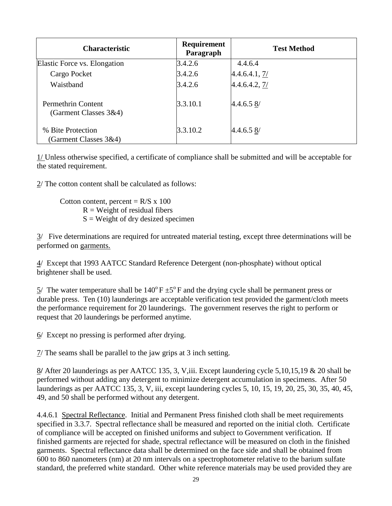| <b>Characteristic</b>                       | Requirement<br>Paragraph | <b>Test Method</b> |
|---------------------------------------------|--------------------------|--------------------|
| Elastic Force vs. Elongation                | 3.4.2.6                  | 4.4.6.4            |
| Cargo Pocket                                | 3.4.2.6                  | 4.4.6.4.1, 7/      |
| Waistband                                   | 3.4.2.6                  | 4.4.6.4.2, 7/      |
| Permethrin Content<br>(Garment Classes 3&4) | 3.3.10.1                 | 4.4.6.58           |
| % Bite Protection<br>(Garment Classes 3&4)  | 3.3.10.2                 | 4.4.6.58           |

1/ Unless otherwise specified, a certificate of compliance shall be submitted and will be acceptable for the stated requirement.

2/ The cotton content shall be calculated as follows:

Cotton content, percent =  $R/S$  x 100  $R = Weight of residual fibers$  $S = Weight of dry desired specimen$ 

3/ Five determinations are required for untreated material testing, except three determinations will be performed on garments.

4/ Except that 1993 AATCC Standard Reference Detergent (non-phosphate) without optical brightener shall be used.

 $5/$  The water temperature shall be  $140^{\circ}$  F  $\pm 5^{\circ}$  F and the drying cycle shall be permanent press or durable press. Ten (10) launderings are acceptable verification test provided the garment/cloth meets the performance requirement for 20 launderings. The government reserves the right to perform or request that 20 launderings be performed anytime.

 $6/$  Except no pressing is performed after drying.

7/ The seams shall be parallel to the jaw grips at 3 inch setting.

8**/** After 20 launderings as per AATCC 135, 3, V,iii. Except laundering cycle 5,10,15,19 & 20 shall be performed without adding any detergent to minimize detergent accumulation in specimens. After 50 launderings as per AATCC 135, 3, V, iii, except laundering cycles 5, 10, 15, 19, 20, 25, 30, 35, 40, 45, 49, and 50 shall be performed without any detergent.

4.4.6.1 Spectral Reflectance. Initial and Permanent Press finished cloth shall be meet requirements specified in 3.3.7. Spectral reflectance shall be measured and reported on the initial cloth. Certificate of compliance will be accepted on finished uniforms and subject to Government verification. If finished garments are rejected for shade, spectral reflectance will be measured on cloth in the finished garments. Spectral reflectance data shall be determined on the face side and shall be obtained from 600 to 860 nanometers (nm) at 20 nm intervals on a spectrophotometer relative to the barium sulfate standard, the preferred white standard. Other white reference materials may be used provided they are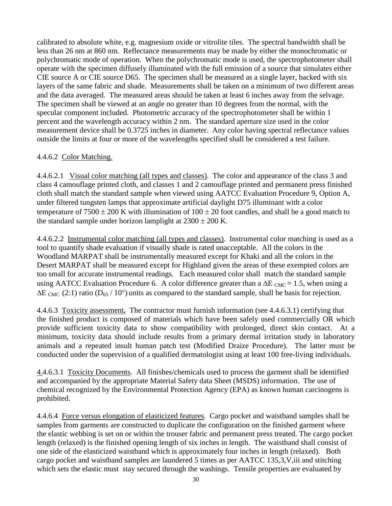calibrated to absolute white, e.g. magnesium oxide or vitrolite tiles. The spectral bandwidth shall be less than 26 nm at 860 nm. Reflectance measurements may be made by either the monochromatic or polychromatic mode of operation. When the polychromatic mode is used, the spectrophotometer shall operate with the specimen diffusely illuminated with the full emission of a source that simulates either CIE source A or CIE source D65. The specimen shall be measured as a single layer, backed with six layers of the same fabric and shade. Measurements shall be taken on a minimum of two different areas and the data averaged. The measured areas should be taken at least 6 inches away from the selvage. The specimen shall be viewed at an angle no greater than 10 degrees from the normal, with the specular component included. Photometric accuracy of the spectrophotometer shall be within 1 percent and the wavelength accuracy within 2 nm. The standard aperture size used in the color measurement device shall be 0.3725 inches in diameter. Any color having spectral reflectance values outside the limits at four or more of the wavelengths specified shall be considered a test failure.

# 4.4.6.2 Color Matching.

4.4.6.2.1 Visual color matching (all types and classes). The color and appearance of the class 3 and class 4 camouflage printed cloth, and classes 1 and 2 camouflage printed and permanent press finished cloth shall match the standard sample when viewed using AATCC Evaluation Procedure 9, Option A, under filtered tungsten lamps that approximate artificial daylight D75 illuminant with a color temperature of  $7500 \pm 200$  K with illumination of  $100 \pm 20$  foot candles, and shall be a good match to the standard sample under horizon lamplight at  $2300 \pm 200$  K.

4.4.6.2.2 Instrumental color matching (all types and classes). Instrumental color matching is used as a tool to quantify shade evaluation if visually shade is rated unacceptable. All the colors in the Woodland MARPAT shall be instrumentally measured except for Khaki and all the colors in the Desert MARPAT shall be measured except for Highland given the areas of these exempted colors are too small for accurate instrumental readings. Each measured color shall match the standard sample using AATCC Evaluation Procedure 6. A color difference greater than a  $\Delta E_{CMC} = 1.5$ , when using a  $\Delta E_{CMC}$  (2:1) ratio (D<sub>65</sub> / 10°) units as compared to the standard sample, shall be basis for rejection.

4.4.6.3 Toxicity assessment**.** The contractor must furnish information (see 4.4.6.3.1) certifying that the finished product is composed of materials which have been safely used commercially OR which provide sufficient toxicity data to show compatibility with prolonged, direct skin contact. At a minimum, toxicity data should include results from a primary dermal irritation study in laboratory animals and a repeated insult human patch test (Modified Draize Procedure). The latter must be conducted under the supervision of a qualified dermatologist using at least 100 free-living individuals.

4.4.6.3.1 Toxicity Documents. All finishes/chemicals used to process the garment shall be identified and accompanied by the appropriate Material Safety data Sheet (MSDS) information. The use of chemical recognized by the Environmental Protection Agency (EPA) as known human carcinogens is prohibited.

4.4.6.4 Force versus elongation of elasticized features. Cargo pocket and waistband samples shall be samples from garments are constructed to duplicate the configuration on the finished garment where the elastic webbing is set on or within the trouser fabric and permanent press treated. The cargo pocket length (relaxed) is the finished opening length of six inches in length. The waistband shall consist of one side of the elasticized waistband which is approximately four inches in length (relaxed). Both cargo pocket and waistband samples are laundered 5 times as per AATCC 135,3,V,iii and stitching which sets the elastic must stay secured through the washings. Tensile properties are evaluated by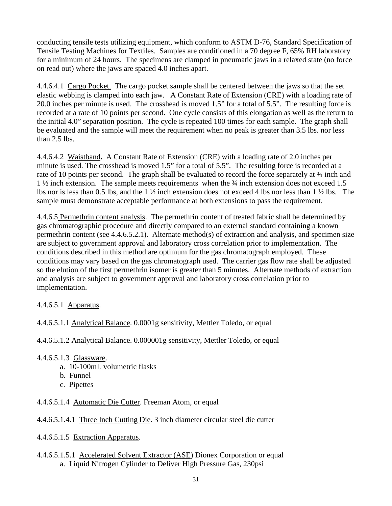conducting tensile tests utilizing equipment, which conform to ASTM D-76, Standard Specification of Tensile Testing Machines for Textiles. Samples are conditioned in a 70 degree F, 65% RH laboratory for a minimum of 24 hours. The specimens are clamped in pneumatic jaws in a relaxed state (no force on read out) where the jaws are spaced 4.0 inches apart.

4.4.6.4.1 Cargo Pocket. The cargo pocket sample shall be centered between the jaws so that the set elastic webbing is clamped into each jaw. A Constant Rate of Extension (CRE) with a loading rate of 20.0 inches per minute is used. The crosshead is moved 1.5" for a total of 5.5". The resulting force is recorded at a rate of 10 points per second. One cycle consists of this elongation as well as the return to the initial 4.0" separation position. The cycle is repeated 100 times for each sample. The graph shall be evaluated and the sample will meet the requirement when no peak is greater than 3.5 lbs. nor less than 2.5 lbs.

4.4.6.4.2 Waistband**.** A Constant Rate of Extension (CRE) with a loading rate of 2.0 inches per minute is used. The crosshead is moved 1.5" for a total of 5.5". The resulting force is recorded at a rate of 10 points per second. The graph shall be evaluated to record the force separately at  $\frac{3}{4}$  inch and 1 ½ inch extension. The sample meets requirements when the ¾ inch extension does not exceed 1.5 lbs nor is less than 0.5 lbs, and the 1 ½ inch extension does not exceed 4 lbs nor less than 1 ½ lbs. The sample must demonstrate acceptable performance at both extensions to pass the requirement.

4.4.6.5 Permethrin content analysis. The permethrin content of treated fabric shall be determined by gas chromatographic procedure and directly compared to an external standard containing a known permethrin content (see 4.4.6.5.2.1). Alternate method(s) of extraction and analysis, and specimen size are subject to government approval and laboratory cross correlation prior to implementation. The conditions described in this method are optimum for the gas chromatograph employed. These conditions may vary based on the gas chromatograph used. The carrier gas flow rate shall be adjusted so the elution of the first permethrin isomer is greater than 5 minutes. Alternate methods of extraction and analysis are subject to government approval and laboratory cross correlation prior to implementation.

4.4.6.5.1 Apparatus.

4.4.6.5.1.1 Analytical Balance. 0.0001g sensitivity, Mettler Toledo, or equal

4.4.6.5.1.2 Analytical Balance. 0.000001g sensitivity, Mettler Toledo, or equal

- 4.4.6.5.1.3 Glassware.
	- a. 10-100mL volumetric flasks
	- b. Funnel
	- c. Pipettes
- 4.4.6.5.1.4 Automatic Die Cutter. Freeman Atom, or equal

4.4.6.5.1.4.1 Three Inch Cutting Die. 3 inch diameter circular steel die cutter

- 4.4.6.5.1.5 Extraction Apparatus.
- 4.4.6.5.1.5.1 Accelerated Solvent Extractor (ASE) Dionex Corporation or equal a. Liquid Nitrogen Cylinder to Deliver High Pressure Gas, 230psi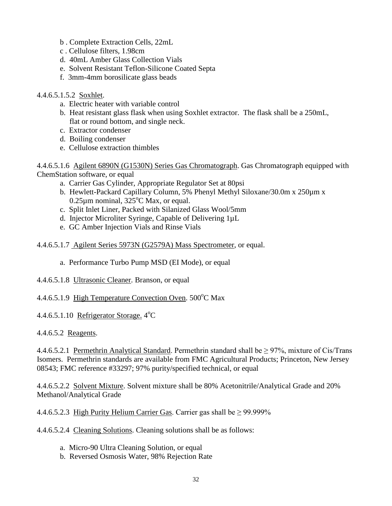- b . Complete Extraction Cells, 22mL
- c . Cellulose filters, 1.98cm
- d. 40mL Amber Glass Collection Vials
- e. Solvent Resistant Teflon-Silicone Coated Septa
- f. 3mm-4mm borosilicate glass beads

#### 4.4.6.5.1.5.2 Soxhlet.

- a. Electric heater with variable control
- b. Heat resistant glass flask when using Soxhlet extractor. The flask shall be a 250mL, flat or round bottom, and single neck.
- c. Extractor condenser
- d. Boiling condenser
- e. Cellulose extraction thimbles

4.4.6.5.1.6 Agilent 6890N (G1530N) Series Gas Chromatograph. Gas Chromatograph equipped with ChemStation software, or equal

- a. Carrier Gas Cylinder, Appropriate Regulator Set at 80psi
- b. Hewlett-Packard Capillary Column, 5% Phenyl Methyl Siloxane/30.0m x 250µm x  $0.25 \mu$ m nominal,  $325^{\circ}$ C Max, or equal.
- c. Split Inlet Liner, Packed with Silanized Glass Wool/5mm
- d. Injector Microliter Syringe, Capable of Delivering 1µL
- e. GC Amber Injection Vials and Rinse Vials
- 4.4.6.5.1.7 Agilent Series 5973N (G2579A) Mass Spectrometer, or equal.
	- a. Performance Turbo Pump MSD (EI Mode), or equal
- 4.4.6.5.1.8 Ultrasonic Cleaner. Branson, or equal

4.4.6.5.1.9 High Temperature Convection Oven. 500°C Max

4.4.6.5.1.10 Refrigerator Storage. 4<sup>°</sup>C

#### 4.4.6.5.2 Reagents.

4.4.6.5.2.1 Permethrin Analytical Standard. Permethrin standard shall be  $\geq$  97%, mixture of Cis/Trans Isomers. Permethrin standards are available from FMC Agricultural Products; Princeton, New Jersey 08543; FMC reference #33297; 97% purity/specified technical, or equal

4.4.6.5.2.2 Solvent Mixture. Solvent mixture shall be 80% Acetonitrile/Analytical Grade and 20% Methanol/Analytical Grade

4.4.6.5.2.3 High Purity Helium Carrier Gas. Carrier gas shall be  $\geq$  99.999%

4.4.6.5.2.4 Cleaning Solutions. Cleaning solutions shall be as follows:

- a. Micro-90 Ultra Cleaning Solution, or equal
- b. Reversed Osmosis Water, 98% Rejection Rate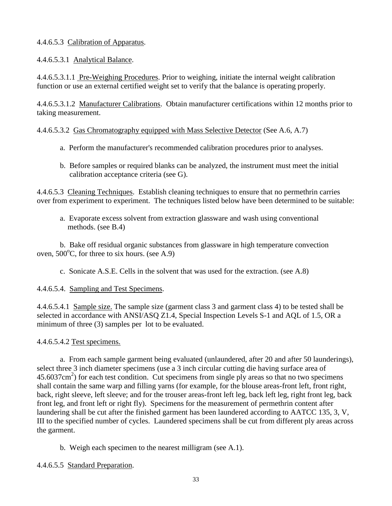## 4.4.6.5.3 Calibration of Apparatus.

4.4.6.5.3.1 Analytical Balance.

4.4.6.5.3.1.1 Pre-Weighing Procedures. Prior to weighing, initiate the internal weight calibration function or use an external certified weight set to verify that the balance is operating properly.

4.4.6.5.3.1.2 Manufacturer Calibrations. Obtain manufacturer certifications within 12 months prior to taking measurement.

## 4.4.6.5.3.2 Gas Chromatography equipped with Mass Selective Detector (See A.6, A.7)

- a. Perform the manufacturer's recommended calibration procedures prior to analyses.
- b. Before samples or required blanks can be analyzed, the instrument must meet the initial calibration acceptance criteria (see G).

4.4.6.5.3 Cleaning Techniques. Establish cleaning techniques to ensure that no permethrin carries over from experiment to experiment. The techniques listed below have been determined to be suitable:

a. Evaporate excess solvent from extraction glassware and wash using conventional methods. (see B.4)

b. Bake off residual organic substances from glassware in high temperature convection oven,  $500^{\circ}$ C, for three to six hours. (see A.9)

c. Sonicate A.S.E. Cells in the solvent that was used for the extraction. (see A.8)

## 4.4.6.5.4. Sampling and Test Specimens.

4.4.6.5.4.1 Sample size. The sample size (garment class 3 and garment class 4) to be tested shall be selected in accordance with ANSI/ASQ Z1.4, Special Inspection Levels S-1 and AQL of 1.5, OR a minimum of three (3) samples per lot to be evaluated.

## 4.4.6.5.4.2 Test specimens.

a. From each sample garment being evaluated (unlaundered, after 20 and after 50 launderings), select three 3 inch diameter specimens (use a 3 inch circular cutting die having surface area of  $45.6037 \text{cm}^2$ ) for each test condition. Cut specimens from single ply areas so that no two specimens shall contain the same warp and filling yarns (for example, for the blouse areas-front left, front right, back, right sleeve, left sleeve; and for the trouser areas-front left leg, back left leg, right front leg, back front leg, and front left or right fly). Specimens for the measurement of permethrin content after laundering shall be cut after the finished garment has been laundered according to AATCC 135, 3, V, III to the specified number of cycles. Laundered specimens shall be cut from different ply areas across the garment.

b. Weigh each specimen to the nearest milligram (see A.1).

## 4.4.6.5.5 Standard Preparation.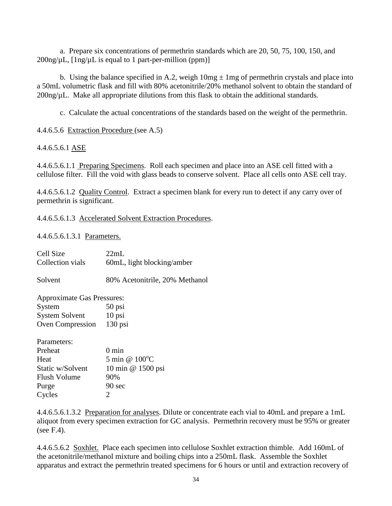a. Prepare six concentrations of permethrin standards which are 20, 50, 75, 100, 150, and  $200$ ng/ $\mu$ L,  $[1$ ng/ $\mu$ L is equal to 1 part-per-million (ppm)]

b. Using the balance specified in A.2, weigh  $10mg \pm 1mg$  of permethrin crystals and place into a 50mL volumetric flask and fill with 80% acetonitrile/20% methanol solvent to obtain the standard of 200ng/µL. Make all appropriate dilutions from this flask to obtain the additional standards*.*

c. Calculate the actual concentrations of the standards based on the weight of the permethrin.

4.4.6.5.6 Extraction Procedure (see A.5)

## 4.4.6.5.6.1 ASE

4.4.6.5.6.1.1 Preparing Specimens. Roll each specimen and place into an ASE cell fitted with a cellulose filter. Fill the void with glass beads to conserve solvent. Place all cells onto ASE cell tray.

4.4.6.5.6.1.2 Quality Control. Extract a specimen blank for every run to detect if any carry over of permethrin is significant.

4.4.6.5.6.1.3 Accelerated Solvent Extraction Procedures.

4.4.6.5.6.1.3.1 Parameters.

| 22mL                              |  |  |
|-----------------------------------|--|--|
| 60mL, light blocking/amber        |  |  |
| 80% Acetonitrile, 20% Methanol    |  |  |
| <b>Approximate Gas Pressures:</b> |  |  |
| 50 psi                            |  |  |
| $10$ psi                          |  |  |
| $130$ psi<br>Oven Compression     |  |  |
|                                   |  |  |
| 0 min                             |  |  |
| 5 min @ $100^{\circ}$ C           |  |  |
| 10 min @ 1500 psi                 |  |  |
| 90%                               |  |  |
| 90 sec                            |  |  |
| 2                                 |  |  |
|                                   |  |  |

4.4.6.5.6.1.3.2 Preparation for analyses. Dilute or concentrate each vial to 40mL and prepare a 1mL aliquot from every specimen extraction for GC analysis. Permethrin recovery must be 95% or greater (see F.4).

4.4.6.5.6.2 Soxhlet. Place each specimen into cellulose Soxhlet extraction thimble. Add 160mL of the acetonitrile/methanol mixture and boiling chips into a 250mL flask. Assemble the Soxhlet apparatus and extract the permethrin treated specimens for 6 hours or until and extraction recovery of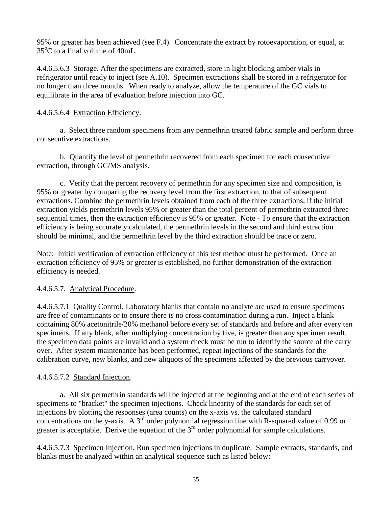95% or greater has been achieved (see F.4). Concentrate the extract by rotoevaporation, or equal, at 35°C to a final volume of 40mL.

4.4.6.5.6.3 Storage. After the specimens are extracted, store in light blocking amber vials in refrigerator until ready to inject (see A.10). Specimen extractions shall be stored in a refrigerator for no longer than three months. When ready to analyze, allow the temperature of the GC vials to equilibrate in the area of evaluation before injection into GC.

# 4.4.6.5.6.4 Extraction Efficiency.

a. Select three random specimens from any permethrin treated fabric sample and perform three consecutive extractions.

b. Quantify the level of permethrin recovered from each specimen for each consecutive extraction, through GC/MS analysis.

c. Verify that the percent recovery of permethrin for any specimen size and composition, is 95% or greater by comparing the recovery level from the first extraction, to that of subsequent extractions. Combine the permethrin levels obtained from each of the three extractions, if the initial extraction yields permethrin levels 95% or greater than the total percent of permethrin extracted three sequential times, then the extraction efficiency is 95% or greater. Note - To ensure that the extraction efficiency is being accurately calculated, the permethrin levels in the second and third extraction should be minimal, and the permethrin level by the third extraction should be trace or zero.

Note: Initial verification of extraction efficiency of this test method must be performed. Once an extraction efficiency of 95% or greater is established, no further demonstration of the extraction efficiency is needed.

## 4.4.6.5.7. Analytical Procedure.

4.4.6.5.7.1 Quality Control. Laboratory blanks that contain no analyte are used to ensure specimens are free of contaminants or to ensure there is no cross contamination during a run. Inject a blank containing 80% acetonitrile/20% methanol before every set of standards and before and after every ten specimens. If any blank, after multiplying concentration by five, is greater than any specimen result, the specimen data points are invalid and a system check must be run to identify the source of the carry over. After system maintenance has been performed, repeat injections of the standards for the calibration curve, new blanks, and new aliquots of the specimens affected by the previous carryover.

## 4.4.6.5.7.2 Standard Injection.

a. All six permethrin standards will be injected at the beginning and at the end of each series of specimens to "bracket" the specimen injections. Check linearity of the standards for each set of injections by plotting the responses (area counts) on the x-axis vs. the calculated standard concentrations on the y-axis. A 3<sup>rd</sup> order polynomial regression line with R-squared value of 0.99 or greater is acceptable. Derive the equation of the  $3<sup>rd</sup>$  order polynomial for sample calculations.

4.4.6.5.7.3 Specimen Injection. Run specimen injections in duplicate. Sample extracts, standards, and blanks must be analyzed within an analytical sequence such as listed below: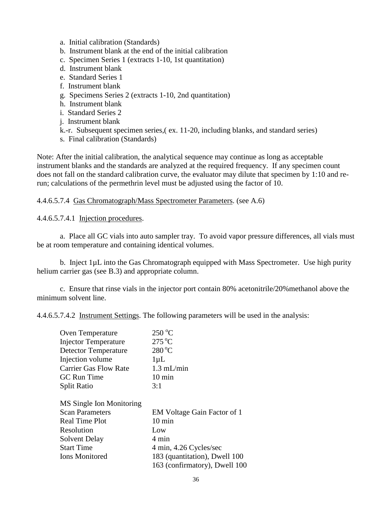- a. Initial calibration (Standards)
- b. Instrument blank at the end of the initial calibration
- c. Specimen Series 1 (extracts 1-10, 1st quantitation)
- d. Instrument blank
- e. Standard Series 1
- f. Instrument blank
- g. Specimens Series 2 (extracts 1-10, 2nd quantitation)
- h. Instrument blank
- i. Standard Series 2
- j. Instrument blank
- k.-r. Subsequent specimen series,( ex. 11-20, including blanks, and standard series)
- s. Final calibration (Standards)

Note: After the initial calibration, the analytical sequence may continue as long as acceptable instrument blanks and the standards are analyzed at the required frequency. If any specimen count does not fall on the standard calibration curve, the evaluator may dilute that specimen by 1:10 and rerun; calculations of the permethrin level must be adjusted using the factor of 10.

#### 4.4.6.5.7.4 Gas Chromatograph/Mass Spectrometer Parameters. (see A.6)

4.4.6.5.7.4.1 Injection procedures.

a. Place all GC vials into auto sampler tray. To avoid vapor pressure differences, all vials must be at room temperature and containing identical volumes.

b. Inject 1µL into the Gas Chromatograph equipped with Mass Spectrometer. Use high purity helium carrier gas (see B.3) and appropriate column.

c. Ensure that rinse vials in the injector port contain 80% acetonitrile/20%methanol above the minimum solvent line.

4.4.6.5.7.4.2 Instrument Settings. The following parameters will be used in the analysis:

| Oven Temperature             | $250^{\circ}$ C               |
|------------------------------|-------------------------------|
| <b>Injector Temperature</b>  | $275^{\circ}$ C               |
| <b>Detector Temperature</b>  | $280^{\circ}$ C               |
| Injection volume             | $1 \mu L$                     |
| <b>Carrier Gas Flow Rate</b> | $1.3$ mL/min                  |
| <b>GC</b> Run Time           | $10 \text{ min}$              |
| <b>Split Ratio</b>           | 3:1                           |
|                              |                               |
| MS Single Ion Monitoring     |                               |
| <b>Scan Parameters</b>       | EM Voltage Gain Factor of 1   |
| <b>Real Time Plot</b>        | $10 \text{ min}$              |
| Resolution                   | Low                           |
| Solvent Delay                | 4 min                         |
| <b>Start Time</b>            | 4 min, 4.26 Cycles/sec        |
| <b>Ions Monitored</b>        | 183 (quantitation), Dwell 100 |
|                              | 163 (confirmatory), Dwell 100 |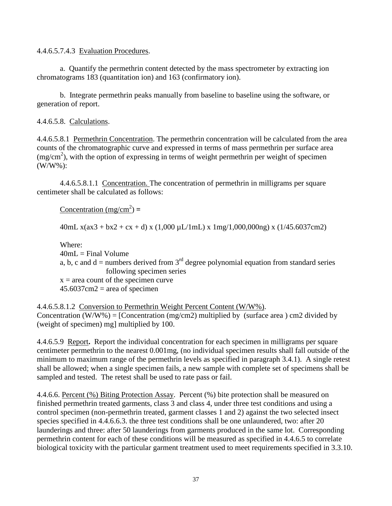4.4.6.5.7.4.3 Evaluation Procedures.

a. Quantify the permethrin content detected by the mass spectrometer by extracting ion chromatograms 183 (quantitation ion) and 163 (confirmatory ion).

b. Integrate permethrin peaks manually from baseline to baseline using the software, or generation of report.

## 4.4.6.5.8. Calculations.

4.4.6.5.8.1 Permethrin Concentration. The permethrin concentration will be calculated from the area counts of the chromatographic curve and expressed in terms of mass permethrin per surface area  $(mg/cm<sup>2</sup>)$ , with the option of expressing in terms of weight permethrin per weight of specimen (W/W%):

4.4.6.5.8.1.1 Concentration. The concentration of permethrin in milligrams per square centimeter shall be calculated as follows:

 $\text{Concentration}$  (mg/cm<sup>2</sup>) =

40mL  $x(ax3 + bx2 + cx + d)$  x (1,000  $\mu$ L/1mL) x 1mg/1,000,000ng) x (1/45.6037cm2)

Where:  $40mL =$  Final Volume a, b, c and  $d =$  numbers derived from  $3<sup>rd</sup>$  degree polynomial equation from standard series following specimen series  $x = \text{area count of the specimen curve}$  $45.6037$ cm2 = area of specimen

4.4.6.5.8.1.2 Conversion to Permethrin Weight Percent Content (W/W%). Concentration (W/W%) = [Concentration (mg/cm2) multiplied by (surface area) cm2 divided by (weight of specimen) mg] multiplied by 100.

4.4.6.5.9 Report**.** Report the individual concentration for each specimen in milligrams per square centimeter permethrin to the nearest 0.001mg, (no individual specimen results shall fall outside of the minimum to maximum range of the permethrin levels as specified in paragraph 3.4.1). A single retest shall be allowed; when a single specimen fails, a new sample with complete set of specimens shall be sampled and tested. The retest shall be used to rate pass or fail.

4.4.6.6. Percent (%) Biting Protection Assay. Percent (%) bite protection shall be measured on finished permethrin treated garments, class 3 and class 4, under three test conditions and using a control specimen (non-permethrin treated, garment classes 1 and 2) against the two selected insect species specified in 4.4.6.6.3. the three test conditions shall be one unlaundered, two: after 20 launderings and three: after 50 launderings from garments produced in the same lot. Corresponding permethrin content for each of these conditions will be measured as specified in 4.4.6.5 to correlate biological toxicity with the particular garment treatment used to meet requirements specified in 3.3.10.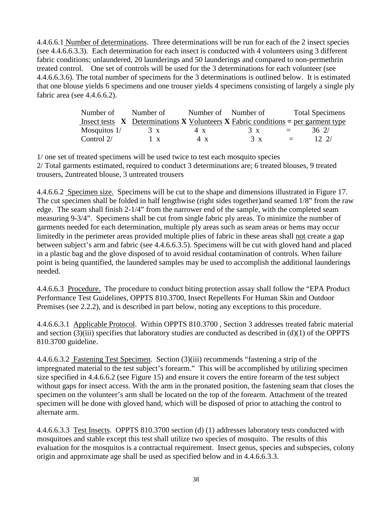4.4.6.6.1 Number of determinations. Three determinations will be run for each of the 2 insect species (see 4.4.6.6.3.3). Each determination for each insect is conducted with 4 volunteers using 3 different fabric conditions; unlaundered, 20 launderings and 50 launderings and compared to non-permethrin treated control. One set of controls will be used for the 3 determinations for each volunteer (see 4.4.6.6.3.6). The total number of specimens for the 3 determinations is outlined below. It is estimated that one blouse yields 6 specimens and one trouser yields 4 specimens consisting of largely a single ply fabric area (see 4.4.6.6.2).

| Number of      | Number of                                                                           | Number of Number of |            |          | <b>Total Specimens</b> |
|----------------|-------------------------------------------------------------------------------------|---------------------|------------|----------|------------------------|
|                | Insect tests $X$ Determinations X Volunteers X Fabric conditions = per garment type |                     |            |          |                        |
| Mosquitos $1/$ | $3 \times$                                                                          | 4 x                 | $3 \times$ | $\equiv$ | 362/                   |
| Control $2/$   | $\mathbf{X}$                                                                        | 4 x                 | 3x         | $=$ $-$  | 12.2/                  |

1/ one set of treated specimens will be used twice to test each mosquito species 2/ Total garments estimated, required to conduct 3 determinations are; 6 treated blouses, 9 treated trousers, 2untreated blouse, 3 untreated trousers

4.4.6.6.2 Specimen size. Specimens will be cut to the shape and dimensions illustrated in Figure 17. The cut specimen shall be folded in half lengthwise (right sides together)and seamed 1/8" from the raw edge. The seam shall finish 2-1/4" from the narrower end of the sample, with the completed seam measuring 9-3/4". Specimens shall be cut from single fabric ply areas. To minimize the number of garments needed for each determination, multiple ply areas such as seam areas or hems may occur limitedly in the perimeter areas provided multiple plies of fabric in these areas shall not create a gap between subject's arm and fabric (see 4.4.6.6.3.5). Specimens will be cut with gloved hand and placed in a plastic bag and the glove disposed of to avoid residual contamination of controls. When failure point is being quantified, the laundered samples may be used to accomplish the additional launderings needed.

4.4.6.6.3 Procedure.The procedure to conduct biting protection assay shall follow the "EPA Product Performance Test Guidelines, OPPTS 810.3700, Insect Repellents For Human Skin and Outdoor Premises (see 2.2.2), and is described in part below, noting any exceptions to this procedure.

4.4.6.6.3.1 Applicable Protocol. Within OPPTS 810.3700 , Section 3 addresses treated fabric material and section  $(3)(iii)$  specifies that laboratory studies are conducted as described in  $(d)(1)$  of the OPPTS 810.3700 guideline.

4.4.6.6.3.2 Fastening Test Specimen. Section (3)(iii) recommends "fastening a strip of the impregnated material to the test subject's forearm." This will be accomplished by utilizing specimen size specified in 4.4.6.6.2 (see Figure 15) and ensure it covers the entire forearm of the test subject without gaps for insect access. With the arm in the pronated position, the fastening seam that closes the specimen on the volunteer's arm shall be located on the top of the forearm. Attachment of the treated specimen will be done with gloved hand, which will be disposed of prior to attaching the control to alternate arm.

4.4.6.6.3.3 Test Insects. OPPTS 810.3700 section (d) (1) addresses laboratory tests conducted with mosquitoes and stable except this test shall utilize two species of mosquito. The results of this evaluation for the mosquitos is a contractual requirement. Insect genus, species and subspecies, colony origin and approximate age shall be used as specified below and in 4.4.6.6.3.3.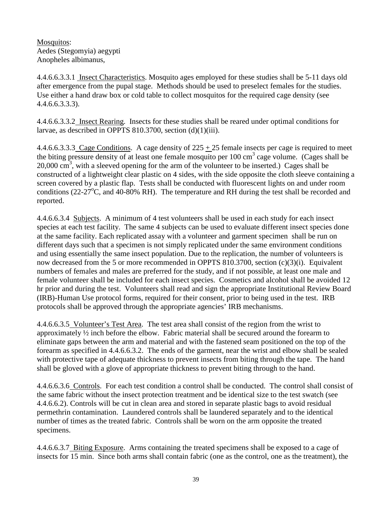Mosquitos: Aedes (Stegomyia) aegypti Anopheles albimanus,

4.4.6.6.3.3.1 Insect Characteristics. Mosquito ages employed for these studies shall be 5-11 days old after emergence from the pupal stage. Methods should be used to preselect females for the studies. Use either a hand draw box or cold table to collect mosquitos for the required cage density (see 4.4.6.6.3.3.3).

4.4.6.6.3.3.2 Insect Rearing. Insects for these studies shall be reared under optimal conditions for larvae, as described in OPPTS 810.3700, section (d)(1)(iii).

4.4.6.6.3.3.3 Cage Conditions. A cage density of  $225 + 25$  female insects per cage is required to meet the biting pressure density of at least one female mosquito per  $100 \text{ cm}^3$  cage volume. (Cages shall be  $20,000 \text{ cm}^3$ , with a sleeved opening for the arm of the volunteer to be inserted.) Cages shall be constructed of a lightweight clear plastic on 4 sides, with the side opposite the cloth sleeve containing a screen covered by a plastic flap. Tests shall be conducted with fluorescent lights on and under room conditions (22-27 $\rm ^{o}C$ , and 40-80% RH). The temperature and RH during the test shall be recorded and reported.

4.4.6.6.3.4 Subjects. A minimum of 4 test volunteers shall be used in each study for each insect species at each test facility. The same 4 subjects can be used to evaluate different insect species done at the same facility. Each replicated assay with a volunteer and garment specimen shall be run on different days such that a specimen is not simply replicated under the same environment conditions and using essentially the same insect population. Due to the replication, the number of volunteers is now decreased from the 5 or more recommended in OPPTS 810.3700, section (c)(3)(i). Equivalent numbers of females and males are preferred for the study, and if not possible, at least one male and female volunteer shall be included for each insect species. Cosmetics and alcohol shall be avoided 12 hr prior and during the test. Volunteers shall read and sign the appropriate Institutional Review Board (IRB)-Human Use protocol forms, required for their consent, prior to being used in the test. IRB protocols shall be approved through the appropriate agencies' IRB mechanisms.

4.4.6.6.3.5 Volunteer's Test Area. The test area shall consist of the region from the wrist to approximately ½ inch before the elbow. Fabric material shall be secured around the forearm to eliminate gaps between the arm and material and with the fastened seam positioned on the top of the forearm as specified in 4.4.6.6.3.2. The ends of the garment, near the wrist and elbow shall be sealed with protective tape of adequate thickness to prevent insects from biting through the tape. The hand shall be gloved with a glove of appropriate thickness to prevent biting through to the hand.

4.4.6.6.3.6 Controls. For each test condition a control shall be conducted. The control shall consist of the same fabric without the insect protection treatment and be identical size to the test swatch (see 4.4.6.6.2). Controls will be cut in clean area and stored in separate plastic bags to avoid residual permethrin contamination. Laundered controls shall be laundered separately and to the identical number of times as the treated fabric.Controls shall be worn on the arm opposite the treated specimens.

4.4.6.6.3.7 Biting Exposure. Arms containing the treated specimens shall be exposed to a cage of insects for 15 min. Since both arms shall contain fabric (one as the control, one as the treatment), the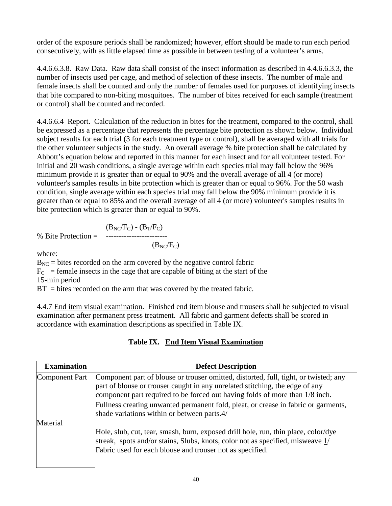order of the exposure periods shall be randomized; however, effort should be made to run each period consecutively, with as little elapsed time as possible in between testing of a volunteer's arms.

4.4.6.6.3.8. Raw Data. Raw data shall consist of the insect information as described in 4.4.6.6.3.3, the number of insects used per cage, and method of selection of these insects. The number of male and female insects shall be counted and only the number of females used for purposes of identifying insects that bite compared to non-biting mosquitoes. The number of bites received for each sample (treatment or control) shall be counted and recorded.

4.4.6.6.4 Report. Calculation of the reduction in bites for the treatment, compared to the control, shall be expressed as a percentage that represents the percentage bite protection as shown below. Individual subject results for each trial (3 for each treatment type or control), shall be averaged with all trials for the other volunteer subjects in the study. An overall average % bite protection shall be calculated by Abbott's equation below and reported in this manner for each insect and for all volunteer tested. For initial and 20 wash conditions, a single average within each species trial may fall below the 96% minimum provide it is greater than or equal to 90% and the overall average of all 4 (or more) volunteer's samples results in bite protection which is greater than or equal to 96%. For the 50 wash condition, single average within each species trial may fall below the 90% minimum provide it is greater than or equal to 85% and the overall average of all 4 (or more) volunteer's samples results in bite protection which is greater than or equal to 90%.

 $(B<sub>NC</sub>/F<sub>C</sub>) - (B<sub>T</sub>/F<sub>C</sub>)$ % Bite Protection =  $-- (B<sub>NC</sub>/F<sub>C</sub>)$ 

where:

 $B_{NC}$  = bites recorded on the arm covered by the negative control fabric

 $F_C$  = female insects in the cage that are capable of biting at the start of the

15-min period

 $BT = \text{bits recorded on the arm that was covered by the treated fabric.}$ 

4.4.7 End item visual examination. Finished end item blouse and trousers shall be subjected to visual examination after permanent press treatment. All fabric and garment defects shall be scored in accordance with examination descriptions as specified in Table IX.

| <b>Examination</b>    | <b>Defect Description</b>                                                                                                                                                                                                                            |
|-----------------------|------------------------------------------------------------------------------------------------------------------------------------------------------------------------------------------------------------------------------------------------------|
| <b>Component Part</b> | Component part of blouse or trouser omitted, distorted, full, tight, or twisted; any<br>part of blouse or trouser caught in any unrelated stitching, the edge of any<br>component part required to be forced out having folds of more than 1/8 inch. |
|                       | Fullness creating unwanted permanent fold, pleat, or crease in fabric or garments,<br>shade variations within or between parts.4/                                                                                                                    |
| Material              | Hole, slub, cut, tear, smash, burn, exposed drill hole, run, thin place, color/dye<br>streak, spots and/or stains, Slubs, knots, color not as specified, misweave 1/<br>Fabric used for each blouse and trouser not as specified.                    |

# **Table IX. End Item Visual Examination**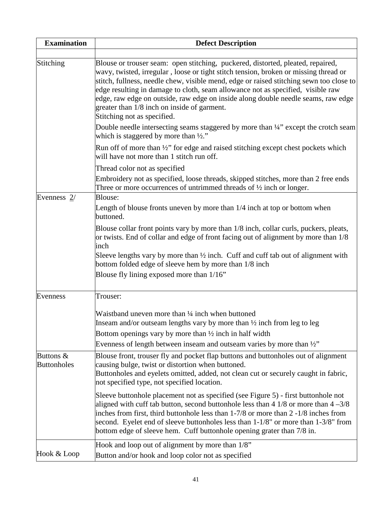| <b>Examination</b>              | <b>Defect Description</b>                                                                                                                                                                                                                                                                                                                                                                                                                                                                                                |
|---------------------------------|--------------------------------------------------------------------------------------------------------------------------------------------------------------------------------------------------------------------------------------------------------------------------------------------------------------------------------------------------------------------------------------------------------------------------------------------------------------------------------------------------------------------------|
|                                 |                                                                                                                                                                                                                                                                                                                                                                                                                                                                                                                          |
| Stitching                       | Blouse or trouser seam: open stitching, puckered, distorted, pleated, repaired,<br>wavy, twisted, irregular, loose or tight stitch tension, broken or missing thread or<br>stitch, fullness, needle chew, visible mend, edge or raised stitching sewn too close to<br>edge resulting in damage to cloth, seam allowance not as specified, visible raw<br>edge, raw edge on outside, raw edge on inside along double needle seams, raw edge<br>greater than 1/8 inch on inside of garment.<br>Stitching not as specified. |
|                                 | Double needle intersecting seams staggered by more than 1/4" except the crotch seam<br>which is staggered by more than $\frac{1}{2}$ ."                                                                                                                                                                                                                                                                                                                                                                                  |
|                                 | Run off of more than $\frac{1}{2}$ " for edge and raised stitching except chest pockets which<br>will have not more than 1 stitch run off.                                                                                                                                                                                                                                                                                                                                                                               |
|                                 | Thread color not as specified                                                                                                                                                                                                                                                                                                                                                                                                                                                                                            |
|                                 | Embroidery not as specified, loose threads, skipped stitches, more than 2 free ends<br>Three or more occurrences of untrimmed threads of $\frac{1}{2}$ inch or longer.                                                                                                                                                                                                                                                                                                                                                   |
| Evenness $2/$                   | Blouse:                                                                                                                                                                                                                                                                                                                                                                                                                                                                                                                  |
|                                 | Length of blouse fronts uneven by more than 1/4 inch at top or bottom when<br>buttoned.                                                                                                                                                                                                                                                                                                                                                                                                                                  |
|                                 | Blouse collar front points vary by more than 1/8 inch, collar curls, puckers, pleats,<br>or twists. End of collar and edge of front facing out of alignment by more than 1/8<br>inch                                                                                                                                                                                                                                                                                                                                     |
|                                 | Sleeve lengths vary by more than $\frac{1}{2}$ inch. Cuff and cuff tab out of alignment with<br>bottom folded edge of sleeve hem by more than 1/8 inch                                                                                                                                                                                                                                                                                                                                                                   |
|                                 | Blouse fly lining exposed more than 1/16"                                                                                                                                                                                                                                                                                                                                                                                                                                                                                |
| Evenness                        | Trouser:                                                                                                                                                                                                                                                                                                                                                                                                                                                                                                                 |
|                                 | Waistband uneven more than 1/4 inch when buttoned                                                                                                                                                                                                                                                                                                                                                                                                                                                                        |
|                                 | Inseam and/or outseam lengths vary by more than $\frac{1}{2}$ inch from leg to leg                                                                                                                                                                                                                                                                                                                                                                                                                                       |
|                                 | Bottom openings vary by more than $\frac{1}{2}$ inch in half width                                                                                                                                                                                                                                                                                                                                                                                                                                                       |
|                                 | Evenness of length between inseam and outseam varies by more than $\frac{1}{2}$ "                                                                                                                                                                                                                                                                                                                                                                                                                                        |
| Buttons &<br><b>Buttonholes</b> | Blouse front, trouser fly and pocket flap buttons and buttonholes out of alignment<br>causing bulge, twist or distortion when buttoned.<br>Buttonholes and eyelets omitted, added, not clean cut or securely caught in fabric,<br>not specified type, not specified location.                                                                                                                                                                                                                                            |
|                                 | Sleeve buttonhole placement not as specified (see Figure 5) - first buttonhole not<br>aligned with cuff tab button, second button hole less than $4\frac{1}{8}$ or more than $4\frac{-3}{8}$<br>inches from first, third button hole less than $1-7/8$ or more than $2-1/8$ inches from<br>second. Eyelet end of sleeve buttonholes less than 1-1/8" or more than 1-3/8" from<br>bottom edge of sleeve hem. Cuff buttonhole opening grater than 7/8 in.                                                                  |
| Hook & Loop                     | Hook and loop out of alignment by more than 1/8"<br>Button and/or hook and loop color not as specified                                                                                                                                                                                                                                                                                                                                                                                                                   |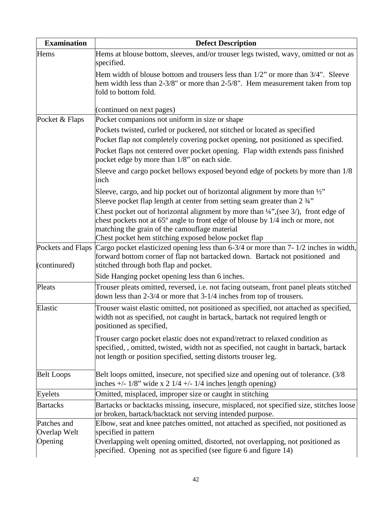| <b>Examination</b> | <b>Defect Description</b>                                                                                                                                                                                                                                                                             |
|--------------------|-------------------------------------------------------------------------------------------------------------------------------------------------------------------------------------------------------------------------------------------------------------------------------------------------------|
| Hems               | Hems at blouse bottom, sleeves, and/or trouser legs twisted, wavy, omitted or not as<br>specified.                                                                                                                                                                                                    |
|                    | Hem width of blouse bottom and trousers less than $1/2$ " or more than $3/4$ ". Sleeve<br>hem width less than 2-3/8" or more than 2-5/8". Hem measurement taken from top<br>fold to bottom fold.                                                                                                      |
|                    | (continued on next pages)                                                                                                                                                                                                                                                                             |
| Pocket & Flaps     | Pocket companions not uniform in size or shape                                                                                                                                                                                                                                                        |
|                    | Pockets twisted, curled or puckered, not stitched or located as specified                                                                                                                                                                                                                             |
|                    | Pocket flap not completely covering pocket opening, not positioned as specified.                                                                                                                                                                                                                      |
|                    | Pocket flaps not centered over pocket opening. Flap width extends pass finished<br>pocket edge by more than 1/8" on each side.                                                                                                                                                                        |
|                    | Sleeve and cargo pocket bellows exposed beyond edge of pockets by more than 1/8<br>inch                                                                                                                                                                                                               |
|                    | Sleeve, cargo, and hip pocket out of horizontal alignment by more than $\frac{1}{2}$ "<br>Sleeve pocket flap length at center from setting seam greater than 2 3/4"                                                                                                                                   |
|                    | Chest pocket out of horizontal alignment by more than $\frac{1}{4}$ , (see 3/), front edge of<br>chest pockets not at 65 <sup>°</sup> angle to front edge of blouse by 1/4 inch or more, not<br>matching the grain of the camouflage material<br>Chest pocket hem stitching exposed below pocket flap |
| (continured)       | Pockets and Flaps Cargo pocket elasticized opening less than 6-3/4 or more than 7-1/2 inches in width,<br>forward bottom corner of flap not bartacked down. Bartack not positioned and<br>stitched through both flap and pocket.                                                                      |
|                    | Side Hanging pocket opening less than 6 inches.                                                                                                                                                                                                                                                       |
| Pleats             | Trouser pleats omitted, reversed, i.e. not facing outseam, front panel pleats stitched<br>down less than 2-3/4 or more that 3-1/4 inches from top of trousers.                                                                                                                                        |
| Elastic            | Trouser waist elastic omitted, not positioned as specified, not attached as specified,<br>width not as specified, not caught in bartack, bartack not required length or<br>positioned as specified,                                                                                                   |
|                    | Trouser cargo pocket elastic does not expand/retract to relaxed condition as<br>specified,, omitted, twisted, width not as specified, not caught in bartack, bartack<br>not length or position specified, setting distorts trouser leg.                                                               |
| <b>Belt Loops</b>  | Belt loops omitted, insecure, not specified size and opening out of tolerance. (3/8)<br>inches $+/- 1/8$ " wide x 2 $1/4 +/- 1/4$ inches length opening)                                                                                                                                              |
| Eyelets            | Omitted, misplaced, improper size or caught in stitching                                                                                                                                                                                                                                              |
| <b>Bartacks</b>    | Bartacks or backtacks missing, insecure, misplaced, not specified size, stitches loose<br>or broken, bartack/backtack not serving intended purpose.                                                                                                                                                   |
| Patches and        | Elbow, seat and knee patches omitted, not attached as specified, not positioned as                                                                                                                                                                                                                    |
| Overlap Welt       | specified in pattern                                                                                                                                                                                                                                                                                  |
| Opening            | Overlapping welt opening omitted, distorted, not overlapping, not positioned as<br>specified. Opening not as specified (see figure 6 and figure 14)                                                                                                                                                   |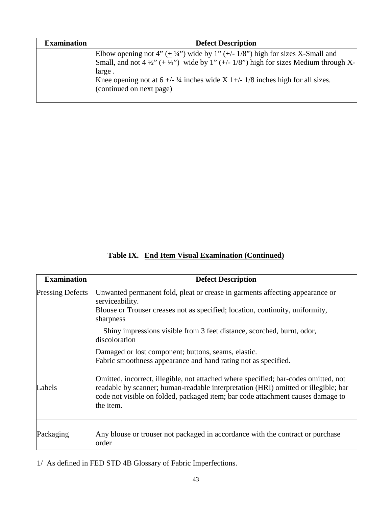| <b>Examination</b> | <b>Defect Description</b>                                                                                     |
|--------------------|---------------------------------------------------------------------------------------------------------------|
|                    | Elbow opening not 4" $(\pm 1/4)$ " wide by 1" $(+/- 1/8)$ " high for sizes X-Small and                        |
|                    | Small, and not 4 $\frac{1}{2}$ ( $\pm$ $\frac{1}{4}$ ) wide by 1" (+/- 1/8") high for sizes Medium through X- |
|                    | large.                                                                                                        |
|                    | Knee opening not at $6 +/- \frac{1}{4}$ inches wide X 1+/- 1/8 inches high for all sizes.                     |
|                    | (continued on next page)                                                                                      |
|                    |                                                                                                               |

**Table IX. End Item Visual Examination (Continued)**

| <b>Examination</b>      | <b>Defect Description</b>                                                                                                                                                                                                                                                 |
|-------------------------|---------------------------------------------------------------------------------------------------------------------------------------------------------------------------------------------------------------------------------------------------------------------------|
| <b>Pressing Defects</b> | Unwanted permanent fold, pleat or crease in garments affecting appearance or<br>serviceability.<br>Blouse or Trouser creases not as specified; location, continuity, uniformity,                                                                                          |
|                         | sharpness<br>Shiny impressions visible from 3 feet distance, scorched, burnt, odor,<br>discoloration                                                                                                                                                                      |
|                         | Damaged or lost component; buttons, seams, elastic.<br>Fabric smoothness appearance and hand rating not as specified.                                                                                                                                                     |
| Labels                  | Omitted, incorrect, illegible, not attached where specified; bar-codes omitted, not<br>readable by scanner; human-readable interpretation (HRI) omitted or illegible; bar<br>code not visible on folded, packaged item; bar code attachment causes damage to<br>the item. |
| Packaging               | Any blouse or trouser not packaged in accordance with the contract or purchase<br>order                                                                                                                                                                                   |

1/ As defined in FED STD 4B Glossary of Fabric Imperfections.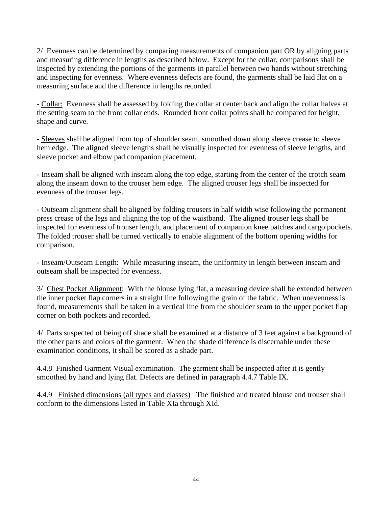2/ Evenness can be determined by comparing measurements of companion part OR by aligning parts and measuring difference in lengths as described below. Except for the collar, comparisons shall be inspected by extending the portions of the garments in parallel between two hands without stretching and inspecting for evenness. Where evenness defects are found, the garments shall be laid flat on a measuring surface and the difference in lengths recorded.

- Collar: Evenness shall be assessed by folding the collar at center back and align the collar halves at the setting seam to the front collar ends. Rounded front collar points shall be compared for height, shape and curve.

- Sleeves shall be aligned from top of shoulder seam, smoothed down along sleeve crease to sleeve hem edge. The aligned sleeve lengths shall be visually inspected for evenness of sleeve lengths, and sleeve pocket and elbow pad companion placement.

- Inseam shall be aligned with inseam along the top edge, starting from the center of the crotch seam along the inseam down to the trouser hem edge. The aligned trouser legs shall be inspected for evenness of the trouser legs.

- Outseam alignment shall be aligned by folding trousers in half width wise following the permanent press crease of the legs and aligning the top of the waistband. The aligned trouser legs shall be inspected for evenness of trouser length, and placement of companion knee patches and cargo pockets. The folded trouser shall be turned vertically to enable alignment of the bottom opening widths for comparison.

- Inseam/Outseam Length: While measuring inseam, the uniformity in length between inseam and outseam shall be inspected for evenness.

3/ Chest Pocket Alignment: With the blouse lying flat, a measuring device shall be extended between the inner pocket flap corners in a straight line following the grain of the fabric. When unevenness is found, measurements shall be taken in a vertical line from the shoulder seam to the upper pocket flap corner on both pockets and recorded.

4/ Parts suspected of being off shade shall be examined at a distance of 3 feet against a background of the other parts and colors of the garment. When the shade difference is discernable under these examination conditions, it shall be scored as a shade part.

4.4.8 Finished Garment Visual examination. The garment shall be inspected after it is gently smoothed by hand and lying flat. Defects are defined in paragraph 4.4.7 Table IX.

4.4.9 Finished dimensions (all types and classes) The finished and treated blouse and trouser shall conform to the dimensions listed in Table XIa through XId.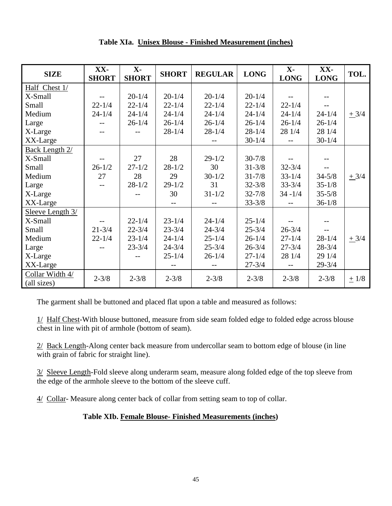| <b>SIZE</b>                    | XX-<br><b>SHORT</b> | $X -$<br><b>SHORT</b> | <b>SHORT</b> | <b>REGULAR</b> | <b>LONG</b> | $\mathbf{X}$ -<br><b>LONG</b> | XX-<br><b>LONG</b> | TOL.      |
|--------------------------------|---------------------|-----------------------|--------------|----------------|-------------|-------------------------------|--------------------|-----------|
| Half Chest 1/                  |                     |                       |              |                |             |                               |                    |           |
| X-Small                        |                     | $20 - 1/4$            | $20 - 1/4$   | $20 - 1/4$     | $20 - 1/4$  |                               | $-$                |           |
| Small                          | $22 - 1/4$          | $22 - 1/4$            | $22 - 1/4$   | $22 - 1/4$     | $22 - 1/4$  | $22 - 1/4$                    | $- -$              |           |
| Medium                         | $24 - 1/4$          | $24 - 1/4$            | $24 - 1/4$   | $24 - 1/4$     | $24 - 1/4$  | $24 - 1/4$                    | $24 - 1/4$         | $+3/4$    |
| Large                          | $-$                 | $26 - 1/4$            | $26 - 1/4$   | $26 - 1/4$     | $26 - 1/4$  | $26 - 1/4$                    | $26 - 1/4$         |           |
| X-Large                        |                     |                       | $28 - 1/4$   | $28 - 1/4$     | $28 - 1/4$  | 28 1/4                        | 28 1/4             |           |
| XX-Large                       |                     |                       |              |                | $30 - 1/4$  |                               | $30 - 1/4$         |           |
| <b>Back Length 2/</b>          |                     |                       |              |                |             |                               |                    |           |
| X-Small                        |                     | 27                    | 28           | $29 - 1/2$     | $30 - 7/8$  |                               |                    |           |
| Small                          | $26 - 1/2$          | $27 - 1/2$            | $28 - 1/2$   | 30             | $31 - 3/8$  | $32 - 3/4$                    |                    |           |
| Medium                         | 27                  | 28                    | 29           | $30 - 1/2$     | $31 - 7/8$  | $33 - 1/4$                    | $34 - 5/8$         | $+3/4$    |
| Large                          |                     | $28 - 1/2$            | $29 - 1/2$   | 31             | $32 - 3/8$  | $33 - 3/4$                    | $35 - 1/8$         |           |
| X-Large                        |                     |                       | 30           | $31 - 1/2$     | $32 - 7/8$  | $34 - 1/4$                    | $35 - 5/8$         |           |
| XX-Large                       |                     |                       |              |                | $33 - 3/8$  |                               | $36 - 1/8$         |           |
| Sleeve Length 3/               |                     |                       |              |                |             |                               |                    |           |
| X-Small                        | $-$                 | $22 - 1/4$            | $23 - 1/4$   | $24 - 1/4$     | $25 - 1/4$  |                               | $- -$              |           |
| Small                          | $21 - 3/4$          | $22 - 3/4$            | $23 - 3/4$   | $24 - 3/4$     | $25 - 3/4$  | $26 - 3/4$                    |                    |           |
| Medium                         | $22 - 1/4$          | $23 - 1/4$            | $24 - 1/4$   | $25 - 1/4$     | $26 - 1/4$  | $27 - 1/4$                    | $28 - 1/4$         | $+3/4$    |
| Large                          |                     | $23 - 3/4$            | $24 - 3/4$   | $25 - 3/4$     | $26 - 3/4$  | $27 - 3/4$                    | $28 - 3/4$         |           |
| X-Large                        |                     |                       | $25 - 1/4$   | $26 - 1/4$     | $27 - 1/4$  | 28 1/4                        | 29 1/4             |           |
| XX-Large                       |                     |                       |              |                | $27 - 3/4$  |                               | $29 - 3/4$         |           |
| Collar Width 4/<br>(all sizes) | $2 - 3/8$           | $2 - 3/8$             | $2 - 3/8$    | $2 - 3/8$      | $2 - 3/8$   | $2 - 3/8$                     | $2 - 3/8$          | $\pm$ 1/8 |

**Table XIa. Unisex Blouse - Finished Measurement (inches)**

The garment shall be buttoned and placed flat upon a table and measured as follows:

1/ Half Chest-With blouse buttoned, measure from side seam folded edge to folded edge across blouse chest in line with pit of armhole (bottom of seam).

2/ Back Length-Along center back measure from undercollar seam to bottom edge of blouse (in line with grain of fabric for straight line).

3/ Sleeve Length-Fold sleeve along underarm seam, measure along folded edge of the top sleeve from the edge of the armhole sleeve to the bottom of the sleeve cuff.

4/ Collar- Measure along center back of collar from setting seam to top of collar.

# **Table XIb. Female Blouse- Finished Measurements (inches)**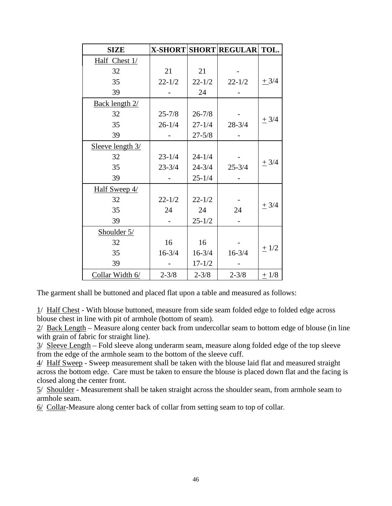| <b>SIZE</b>      |            |            | X-SHORT SHORT REGULAR TOL. |           |
|------------------|------------|------------|----------------------------|-----------|
| Half Chest 1/    |            |            |                            |           |
| 32               | 21         | 21         |                            |           |
| 35               | $22 - 1/2$ | $22 - 1/2$ | $22 - 1/2$                 | $+3/4$    |
| 39               |            | 24         |                            |           |
| Back length 2/   |            |            |                            |           |
| 32               | $25 - 7/8$ | $26 - 7/8$ |                            |           |
| 35               | $26 - 1/4$ | $27 - 1/4$ | $28 - 3/4$                 | $\pm$ 3/4 |
| 39               |            | $27 - 5/8$ |                            |           |
| Sleeve length 3/ |            |            |                            |           |
| 32               | $23 - 1/4$ | $24 - 1/4$ |                            |           |
| 35               | $23 - 3/4$ | $24 - 3/4$ | $25 - 3/4$                 | $\pm$ 3/4 |
| 39               |            | $25 - 1/4$ |                            |           |
| Half Sweep 4/    |            |            |                            |           |
| 32               | $22 - 1/2$ | $22 - 1/2$ |                            |           |
| 35               | 24         | 24         | 24                         | $\pm$ 3/4 |
| 39               |            | $25 - 1/2$ |                            |           |
| Shoulder 5/      |            |            |                            |           |
| 32               | 16         | 16         |                            |           |
| 35               | $16 - 3/4$ | $16 - 3/4$ | $16 - 3/4$                 | $\pm$ 1/2 |
| 39               |            | $17 - 1/2$ |                            |           |
| Collar Width 6/  | $2 - 3/8$  | $2 - 3/8$  | $2 - 3/8$                  | $+1/8$    |

The garment shall be buttoned and placed flat upon a table and measured as follows:

1/ Half Chest - With blouse buttoned, measure from side seam folded edge to folded edge across blouse chest in line with pit of armhole (bottom of seam).

2/ Back Length – Measure along center back from undercollar seam to bottom edge of blouse (in line with grain of fabric for straight line).

3/ Sleeve Length – Fold sleeve along underarm seam, measure along folded edge of the top sleeve from the edge of the armhole seam to the bottom of the sleeve cuff.

4/ Half Sweep - Sweep measurement shall be taken with the blouse laid flat and measured straight across the bottom edge. Care must be taken to ensure the blouse is placed down flat and the facing is closed along the center front.

5/ Shoulder - Measurement shall be taken straight across the shoulder seam, from armhole seam to armhole seam.

6/ Collar-Measure along center back of collar from setting seam to top of collar.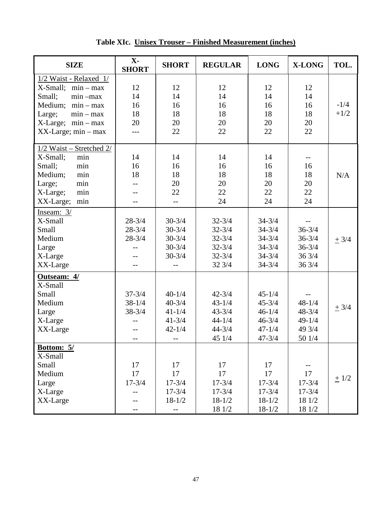| <b>SIZE</b>              | $X -$<br><b>SHORT</b> | <b>SHORT</b> | <b>REGULAR</b> | <b>LONG</b> | <b>X-LONG</b> | TOL.      |
|--------------------------|-----------------------|--------------|----------------|-------------|---------------|-----------|
| 1/2 Waist - Relaxed 1/   |                       |              |                |             |               |           |
| X-Small;<br>$min - max$  | 12                    | 12           | 12             | 12          | 12            |           |
| Small;<br>$min -max$     | 14                    | 14           | 14             | 14          | 14            |           |
| Medium;<br>$min - max$   | 16                    | 16           | 16             | 16          | 16            | $-1/4$    |
| Large;<br>$min - max$    | 18                    | 18           | 18             | 18          | 18            | $+1/2$    |
| $X-Large$ ; $min-max$    | 20                    | 20           | 20             | 20          | 20            |           |
| $XX$ -Large; min – max   |                       | 22           | 22             | 22          | 22            |           |
| 1/2 Waist - Stretched 2/ |                       |              |                |             |               |           |
| min<br>X-Small;          | 14                    | 14           | 14             | 14          | $-$           |           |
| Small;<br>min            | 16                    | 16           | 16             | 16          | 16            |           |
| min<br>Medium;           | 18                    | 18           | 18             | 18          | 18            | N/A       |
| min<br>Large;            | $-$                   | 20           | 20             | 20          | 20            |           |
| X-Large;<br>min          | $-$                   | 22           | 22             | 22          | 22            |           |
| XX-Large;<br>min         | $-$                   | $-$          | 24             | 24          | 24            |           |
| Inseam: 3/               |                       |              |                |             |               |           |
| X-Small                  | $28 - 3/4$            | $30 - 3/4$   | $32 - 3/4$     | $34 - 3/4$  |               |           |
| Small                    | $28 - 3/4$            | $30 - 3/4$   | $32 - 3/4$     | $34 - 3/4$  | $36 - 3/4$    |           |
| Medium                   | $28 - 3/4$            | $30 - 3/4$   | $32 - 3/4$     | $34 - 3/4$  | $36 - 3/4$    | $\pm$ 3/4 |
| Large                    |                       | $30 - 3/4$   | $32 - 3/4$     | $34 - 3/4$  | $36 - 3/4$    |           |
| X-Large                  | $-$                   | $30 - 3/4$   | $32 - 3/4$     | $34 - 3/4$  | 36 3/4        |           |
| XX-Large                 |                       |              | 32 3/4         | $34 - 3/4$  | 36 3/4        |           |
| Outseam: 4/              |                       |              |                |             |               |           |
| X-Small                  |                       |              |                |             |               |           |
| Small                    | $37 - 3/4$            | $40 - 1/4$   | $42 - 3/4$     | $45 - 1/4$  | $-$           |           |
| Medium                   | $38 - 1/4$            | $40 - 3/4$   | $43 - 1/4$     | $45 - 3/4$  | $48 - 1/4$    | $\pm$ 3/4 |
| Large                    | $38 - 3/4$            | $41 - 1/4$   | $43 - 3/4$     | $46 - 1/4$  | $48 - 3/4$    |           |
| X-Large                  |                       | $41 - 3/4$   | $44 - 1/4$     | $46 - 3/4$  | $49 - 1/4$    |           |
| XX-Large                 |                       | $42 - 1/4$   | $44 - 3/4$     | $47 - 1/4$  | 49 3/4        |           |
|                          | $-$                   | $- -$        | 45 1/4         | $47 - 3/4$  | 50 1/4        |           |
| Bottom: 5/<br>X-Small    |                       |              |                |             |               |           |
| Small                    | 17                    | 17           | 17             | 17          | $--$          |           |
| Medium                   | 17                    | 17           | 17             | 17          | 17            |           |
| Large                    | $17 - 3/4$            | $17 - 3/4$   | $17 - 3/4$     | $17 - 3/4$  | $17 - 3/4$    | $\pm$ 1/2 |
| X-Large                  | $-$                   | $17 - 3/4$   | $17 - 3/4$     | $17 - 3/4$  | $17 - 3/4$    |           |
| XX-Large                 | --                    | $18 - 1/2$   | $18 - 1/2$     | $18 - 1/2$  | 18 1/2        |           |
|                          | $-$                   | $- -$        | 18 1/2         | $18 - 1/2$  | 18 1/2        |           |

**Table XIc. Unisex Trouser – Finished Measurement (inches)**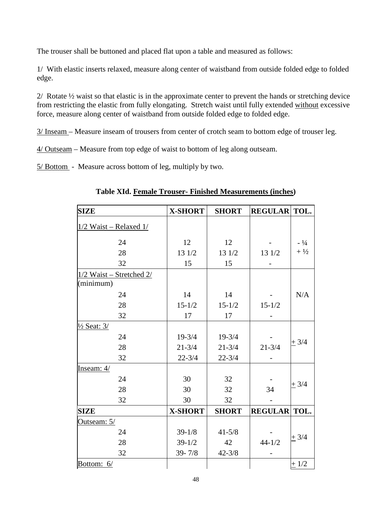The trouser shall be buttoned and placed flat upon a table and measured as follows:

1/ With elastic inserts relaxed, measure along center of waistband from outside folded edge to folded edge.

2/Rotate ½ waist so that elastic is in the approximate center to prevent the hands or stretching device from restricting the elastic from fully elongating. Stretch waist until fully extended without excessive force, measure along center of waistband from outside folded edge to folded edge.

3/ Inseam – Measure inseam of trousers from center of crotch seam to bottom edge of trouser leg.

4/ Outseam – Measure from top edge of waist to bottom of leg along outseam.

5/ Bottom - Measure across bottom of leg, multiply by two.

| <b>SIZE</b>                | <b>X-SHORT</b> | <b>SHORT</b> | <b>REGULAR TOL.</b> |           |
|----------------------------|----------------|--------------|---------------------|-----------|
| $1/2$ Waist – Relaxed $1/$ |                |              |                     |           |
|                            |                |              |                     |           |
| 24                         | 12             | 12           |                     | $-1/4$    |
| 28                         | 13 1/2         | 13 1/2       | 13 1/2              | $+1/2$    |
| 32                         | 15             | 15           |                     |           |
| 1/2 Waist - Stretched 2/   |                |              |                     |           |
| (minimum)                  |                |              |                     |           |
| 24                         | 14             | 14           |                     | N/A       |
| 28                         | $15 - 1/2$     | $15 - 1/2$   | $15 - 1/2$          |           |
| 32                         | 17             | 17           |                     |           |
| $\frac{1}{2}$ Seat: 3/     |                |              |                     |           |
| 24                         | $19 - 3/4$     | $19 - 3/4$   |                     |           |
| 28                         | $21 - 3/4$     | $21 - 3/4$   | $21 - 3/4$          | $+3/4$    |
| 32                         | $22 - 3/4$     | $22 - 3/4$   |                     |           |
| Inseam: 4/                 |                |              |                     |           |
| 24                         | 30             | 32           |                     |           |
| 28                         | 30             | 32           | 34                  | $+3/4$    |
| 32                         | 30             | 32           |                     |           |
| <b>SIZE</b>                | <b>X-SHORT</b> | <b>SHORT</b> | <b>REGULAR TOL.</b> |           |
| Outseam: 5/                |                |              |                     |           |
| 24                         | $39 - 1/8$     | $41 - 5/8$   |                     |           |
| 28                         | $39 - 1/2$     | 42           | $44 - 1/2$          | $\pm$ 3/4 |
| 32                         | $39 - 7/8$     | $42 - 3/8$   |                     |           |
| Bottom: 6/                 |                |              |                     | $+1/2$    |

**Table XId. Female Trouser- Finished Measurements (inches)**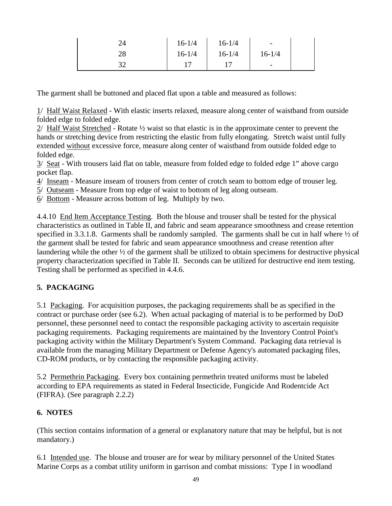|          | $16 - 1/4$ | $16 - 1/4$ | -                        |  |
|----------|------------|------------|--------------------------|--|
| າດ<br>∠о | $16 - 1/4$ | $16 - 1/4$ | $16 - 1/4$               |  |
| າ^       |            |            | $\overline{\phantom{0}}$ |  |

The garment shall be buttoned and placed flat upon a table and measured as follows:

1/ Half Waist Relaxed - With elastic inserts relaxed, measure along center of waistband from outside folded edge to folded edge.

2/ Half Waist Stretched - Rotate ½ waist so that elastic is in the approximate center to prevent the hands or stretching device from restricting the elastic from fully elongating. Stretch waist until fully extended without excessive force, measure along center of waistband from outside folded edge to folded edge.

3/ Seat - With trousers laid flat on table, measure from folded edge to folded edge 1" above cargo pocket flap.

- 4/ Inseam Measure inseam of trousers from center of crotch seam to bottom edge of trouser leg.
- 5/ Outseam Measure from top edge of waist to bottom of leg along outseam.
- 6/ Bottom Measure across bottom of leg. Multiply by two.

4.4.10 End Item Acceptance Testing. Both the blouse and trouser shall be tested for the physical characteristics as outlined in Table II, and fabric and seam appearance smoothness and crease retention specified in 3.3.1.8. Garments shall be randomly sampled. The garments shall be cut in half where  $\frac{1}{2}$  of the garment shall be tested for fabric and seam appearance smoothness and crease retention after laundering while the other ½ of the garment shall be utilized to obtain specimens for destructive physical property characterization specified in Table II. Seconds can be utilized for destructive end item testing. Testing shall be performed as specified in 4.4.6.

# **5. PACKAGING**

5.1 Packaging. For acquisition purposes, the packaging requirements shall be as specified in the contract or purchase order (see 6.2). When actual packaging of material is to be performed by DoD personnel, these personnel need to contact the responsible packaging activity to ascertain requisite packaging requirements. Packaging requirements are maintained by the Inventory Control Point's packaging activity within the Military Department's System Command. Packaging data retrieval is available from the managing Military Department or Defense Agency's automated packaging files, CD-ROM products, or by contacting the responsible packaging activity.

5.2 Permethrin Packaging. Every box containing permethrin treated uniforms must be labeled according to EPA requirements as stated in Federal Insecticide, Fungicide And Rodentcide Act (FIFRA). (See paragraph 2.2.2)

# **6. NOTES**

(This section contains information of a general or explanatory nature that may be helpful, but is not mandatory.)

6.1 Intended use. The blouse and trouser are for wear by military personnel of the United States Marine Corps as a combat utility uniform in garrison and combat missions: Type I in woodland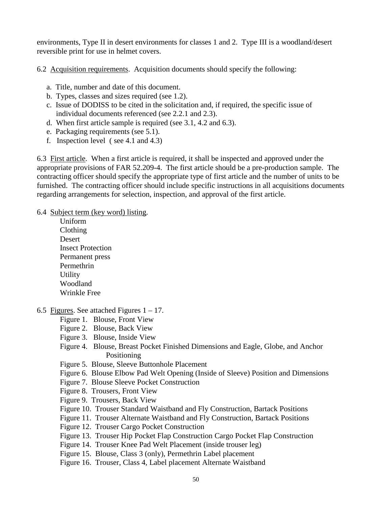environments, Type II in desert environments for classes 1 and 2. Type III is a woodland/desert reversible print for use in helmet covers.

6.2 Acquisition requirements. Acquisition documents should specify the following:

- a. Title, number and date of this document.
- b. Types, classes and sizes required (see 1.2).
- c. Issue of DODISS to be cited in the solicitation and, if required, the specific issue of individual documents referenced (see 2.2.1 and 2.3).
- d. When first article sample is required (see 3.1, 4.2 and 6.3).
- e. Packaging requirements (see 5.1).
- f. Inspection level ( see 4.1 and 4.3)

6.3 First article. When a first article is required, it shall be inspected and approved under the appropriate provisions of FAR 52.209-4. The first article should be a pre-production sample. The contracting officer should specify the appropriate type of first article and the number of units to be furnished. The contracting officer should include specific instructions in all acquisitions documents regarding arrangements for selection, inspection, and approval of the first article.

6.4 Subject term (key word) listing.

- Uniform Clothing Desert Insect Protection Permanent press Permethrin Utility Woodland Wrinkle Free
- 6.5 Figures. See attached Figures  $1 17$ .
	- Figure 1. Blouse, Front View
	- Figure 2. Blouse, Back View
	- Figure 3. Blouse, Inside View
	- Figure 4. Blouse, Breast Pocket Finished Dimensions and Eagle, Globe, and Anchor Positioning
	- Figure 5. Blouse, Sleeve Buttonhole Placement
	- Figure 6. Blouse Elbow Pad Welt Opening (Inside of Sleeve) Position and Dimensions
	- Figure 7. Blouse Sleeve Pocket Construction
	- Figure 8. Trousers, Front View
	- Figure 9. Trousers, Back View
	- Figure 10. Trouser Standard Waistband and Fly Construction, Bartack Positions
	- Figure 11. Trouser Alternate Waistband and Fly Construction, Bartack Positions
	- Figure 12. Trouser Cargo Pocket Construction
	- Figure 13. Trouser Hip Pocket Flap Construction Cargo Pocket Flap Construction
	- Figure 14. Trouser Knee Pad Welt Placement (inside trouser leg)
	- Figure 15. Blouse, Class 3 (only), Permethrin Label placement
	- Figure 16. Trouser, Class 4, Label placement Alternate Waistband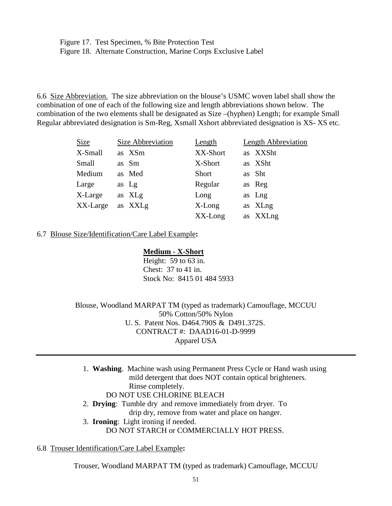Figure 17. Test Specimen, % Bite Protection Test Figure 18. Alternate Construction, Marine Corps Exclusive Label

6.6 Size Abbreviation. The size abbreviation on the blouse's USMC woven label shall show the combination of one of each of the following size and length abbreviations shown below. The combination of the two elements shall be designated as Size –(hyphen) Length; for example Small Regular abbreviated designation is Sm-Reg, Xsmall Xshort abbreviated designation is XS- XS etc.

| <b>Size</b> | <b>Size Abbreviation</b> | Length    | <b>Length Abbreviation</b> |
|-------------|--------------------------|-----------|----------------------------|
| X-Small     | as XSm                   | XX-Short  | as XXSht                   |
| Small       | as Sm                    | X-Short   | as XSht                    |
| Medium      | as Med                   | Short     | as Sht                     |
| Large       | as Lg                    | Regular   | as Reg                     |
| X-Large     | as XLg                   | Long      | as Lng                     |
| XX-Large    | as XXLg                  | $X$ -Long | as XLng                    |
|             |                          | XX-Long   | as XXLng                   |

#### 6.7 Blouse Size/Identification/Care Label Example**:**

#### **Medium - X-Short**

Height: 59 to 63 in. Chest: 37 to 41 in. Stock No: 8415 01 484 5933

Blouse, Woodland MARPAT TM (typed as trademark) Camouflage, MCCUU 50% Cotton/50% Nylon U. S. Patent Nos. D464.790S & D491.372S. CONTRACT #: DAAD16-01-D-9999 Apparel USA

1. **Washing**. Machine wash using Permanent Press Cycle or Hand wash using mild detergent that does NOT contain optical brighteners. Rinse completely. DO NOT USE CHLORINE BLEACH 2. **Drying**: Tumble dry and remove immediately from dryer. To

drip dry, remove from water and place on hanger.

3. **Ironing**: Light ironing if needed.

DO NOT STARCH or COMMERCIALLY HOT PRESS.

#### 6.8 Trouser Identification/Care Label Example**:**

Trouser, Woodland MARPAT TM (typed as trademark) Camouflage, MCCUU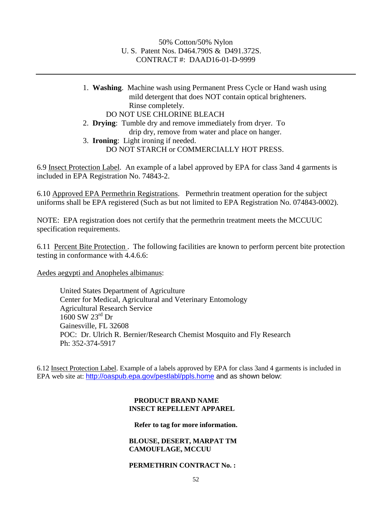#### 50% Cotton/50% Nylon U. S. Patent Nos. D464.790S & D491.372S. CONTRACT #: DAAD16-01-D-9999

1. **Washing**. Machine wash using Permanent Press Cycle or Hand wash using mild detergent that does NOT contain optical brighteners. Rinse completely. DO NOT USE CHLORINE BLEACH

- 2. **Drying**: Tumble dry and remove immediately from dryer. To drip dry, remove from water and place on hanger.
- 3. **Ironing**: Light ironing if needed. DO NOT STARCH or COMMERCIALLY HOT PRESS.

6.9 Insect Protection Label. An example of a label approved by EPA for class 3and 4 garments is included in EPA Registration No. 74843-2.

6.10 Approved EPA Permethrin Registrations. Permethrin treatment operation for the subject uniforms shall be EPA registered (Such as but not limited to EPA Registration No. 074843-0002).

NOTE: EPA registration does not certify that the permethrin treatment meets the MCCUUC specification requirements.

6.11 Percent Bite Protection . The following facilities are known to perform percent bite protection testing in conformance with 4.4.6.6:

Aedes aegypti and Anopheles albimanus:

United States Department of Agriculture Center for Medical, Agricultural and Veterinary Entomology Agricultural Research Service 1600 SW 23rd Dr Gainesville, FL 32608 POC: Dr. Ulrich R. Bernier/Research Chemist Mosquito and Fly Research Ph: 352-374-5917

6.12 Insect Protection Label. Example of a labels approved by EPA for class 3and 4 garments is included in EPA web site at: <http://oaspub.epa.gov/pestlabl/ppls.home> and as shown below:

#### **PRODUCT BRAND NAME INSECT REPELLENT APPAREL**

#### **Refer to tag for more information.**

#### **BLOUSE, DESERT, MARPAT TM CAMOUFLAGE, MCCUU**

#### **PERMETHRIN CONTRACT No. :**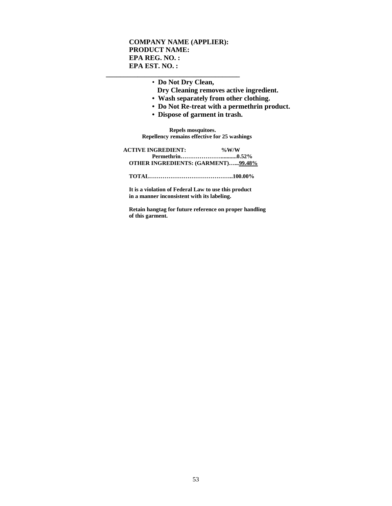#### **COMPANY NAME (APPLIER): PRODUCT NAME: EPA REG. NO. : EPA EST. NO. :**

**\_\_\_\_\_\_\_\_\_\_\_\_\_\_\_\_\_\_\_\_\_\_\_\_\_\_\_\_\_\_\_\_\_\_\_\_\_\_**

• **Do Not Dry Clean,**

- **Dry Cleaning removes active ingredient.**
- **Wash separately from other clothing.**
- **Do Not Re-treat with a permethrin product.**
- **Dispose of garment in trash.**

 **Repels mosquitoes. Repellency remains effective for 25 washings**

| <b>ACTIVE INGREDIENT:</b>                 | $\%$ W/W |
|-------------------------------------------|----------|
|                                           |          |
| <b>OTHER INGREDIENTS: (GARMENT)99.48%</b> |          |
|                                           |          |

**It is a violation of Federal Law to use this product in a manner inconsistent with its labeling.**

**Retain hangtag for future reference on proper handling of this garment.**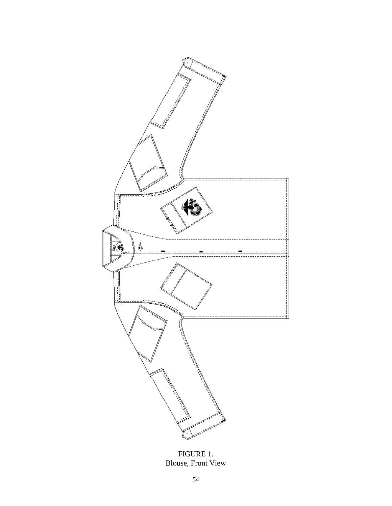

FIGURE 1. Blouse, Front View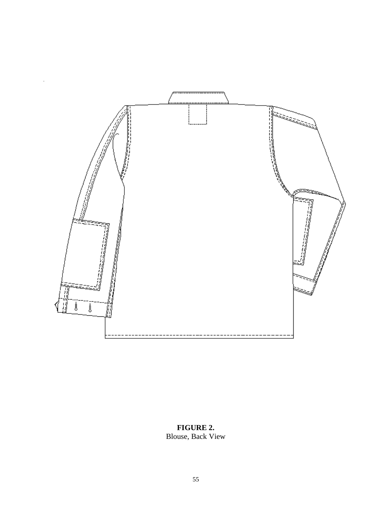

**FIGURE 2.** Blouse, Back View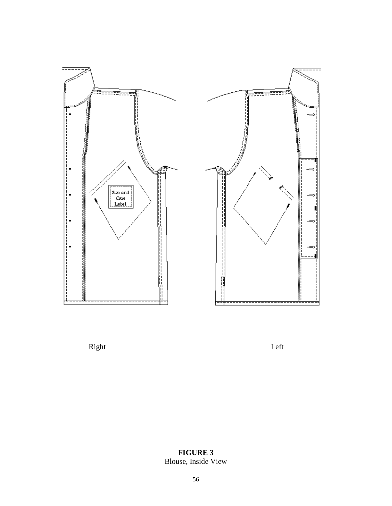

Right Left

**FIGURE 3** Blouse, Inside View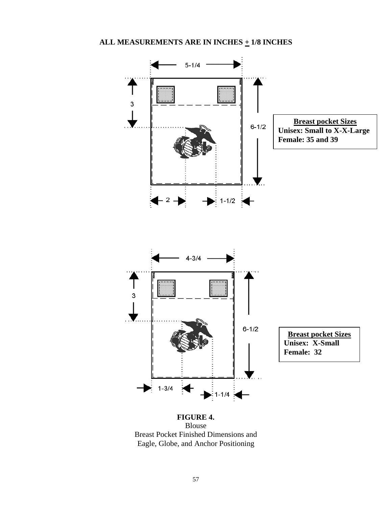

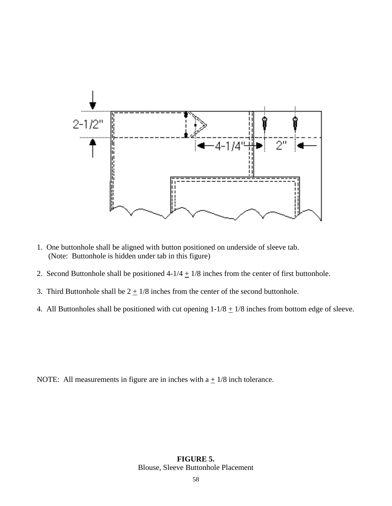

- 1. One buttonhole shall be aligned with button positioned on underside of sleeve tab. (Note: Buttonhole is hidden under tab in this figure)
- 2. Second Buttonhole shall be positioned  $4-1/4 + 1/8$  inches from the center of first buttonhole.
- 3. Third Buttonhole shall be  $2 \pm 1/8$  inches from the center of the second buttonhole.
- 4. All Buttonholes shall be positioned with cut opening  $1-1/8 + 1/8$  inches from bottom edge of sleeve.

NOTE: All measurements in figure are in inches with  $a + \frac{1}{8}$  inch tolerance.

#### **FIGURE 5.** Blouse, Sleeve Buttonhole Placement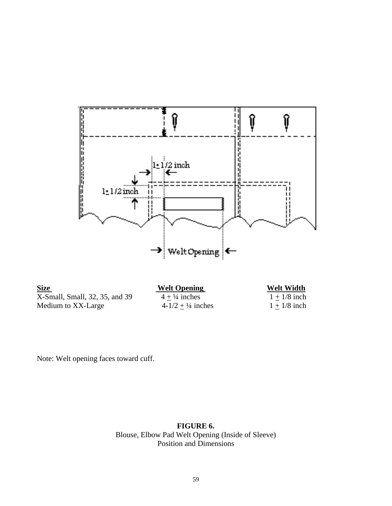

**Size**<br>X-Small, Small, 32, 35, and 39<br> $\frac{\text{Welt Opening}}{4 \pm \frac{1}{4} \text{ inches}}$  Welt Width<br> $\frac{\text{Welt Width}}{1 \pm \frac{1}{8} \text{ inch}}$ X-Small, Small, 32, 35, and 39  $\frac{4 \pm \frac{1}{4} \text{ inches}}{4-1/2 \pm \frac{1}{4} \text{ inches}}$   $\frac{1 \pm 1/8 \text{ inch}}{1 \pm 1/8 \text{ inch}}$ Medium to XX-Large

Note: Welt opening faces toward cuff.

**FIGURE 6.** Blouse, Elbow Pad Welt Opening (Inside of Sleeve) Position and Dimensions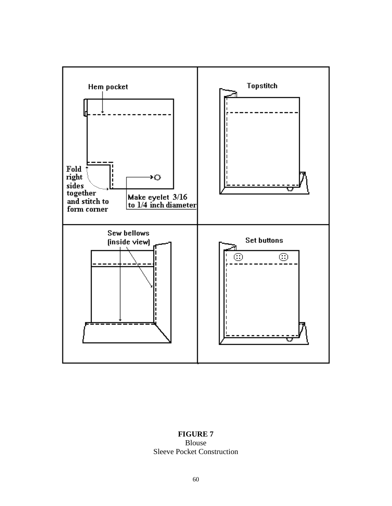

## **FIGURE 7** Blouse Sleeve Pocket Construction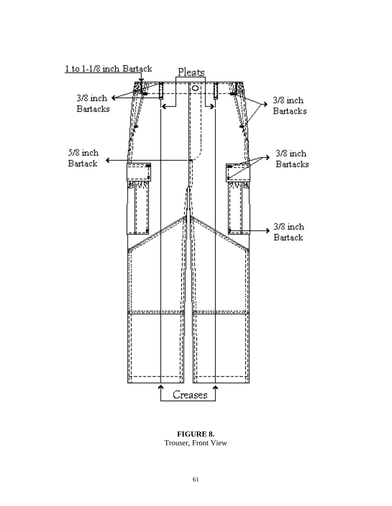

**FIGURE 8.**  Trouser, Front View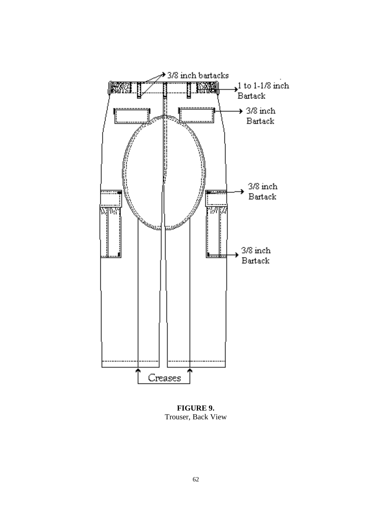

**FIGURE 9.** Trouser, Back View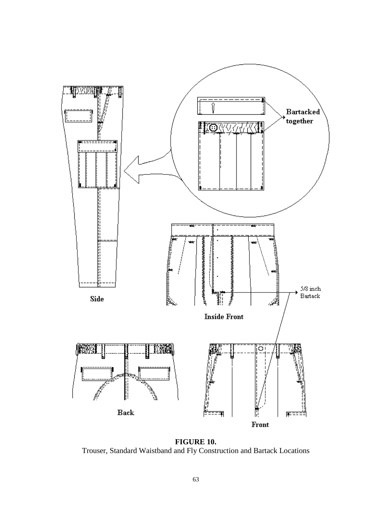

**FIGURE 10.** Trouser, Standard Waistband and Fly Construction and Bartack Locations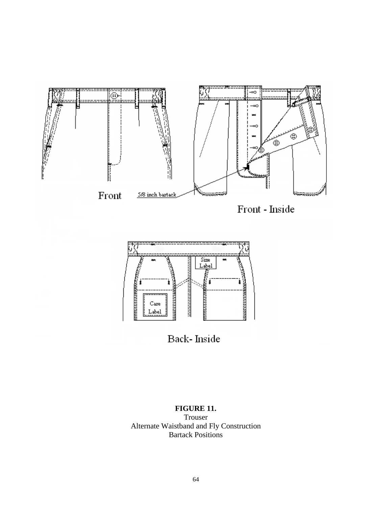





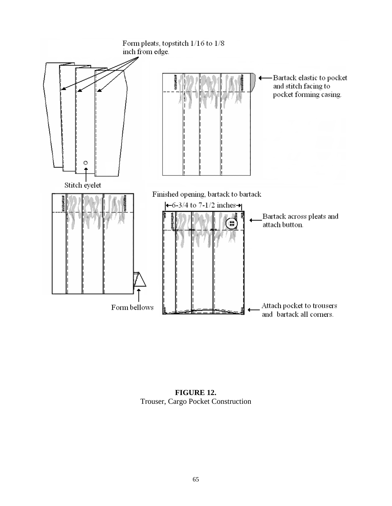

**FIGURE 12.** Trouser, Cargo Pocket Construction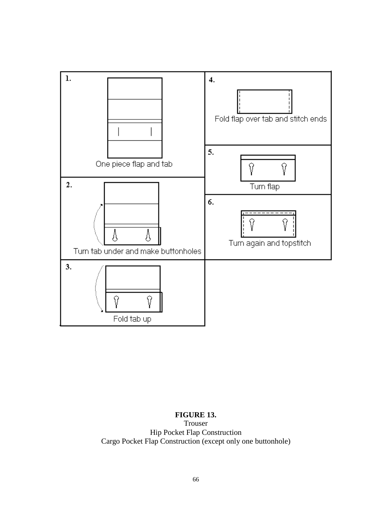

# **FIGURE 13.**

Trouser Hip Pocket Flap Construction Cargo Pocket Flap Construction (except only one buttonhole)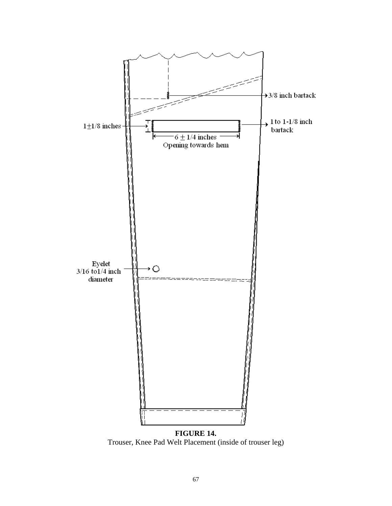![](_page_66_Figure_0.jpeg)

Trouser, Knee Pad Welt Placement (inside of trouser leg)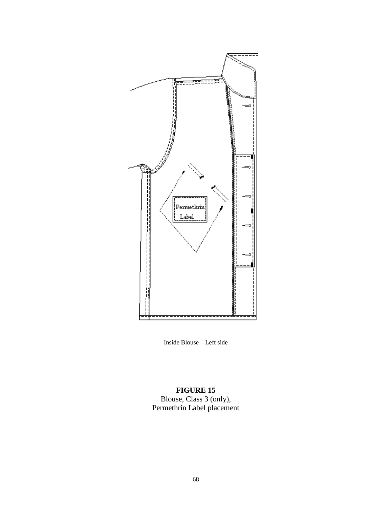![](_page_67_Figure_0.jpeg)

Inside Blouse – Left side

#### **FIGURE 15**

Blouse, Class 3 (only), Permethrin Label placement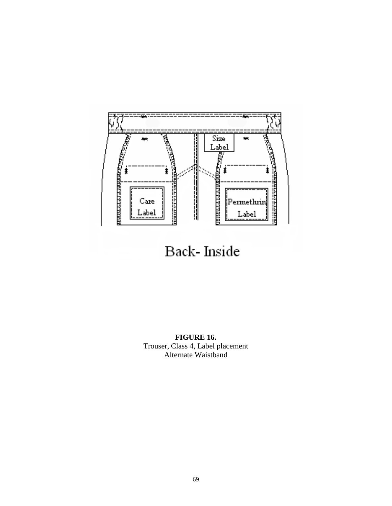![](_page_68_Figure_0.jpeg)

Back-Inside

**FIGURE 16.** Trouser, Class 4, Label placement Alternate Waistband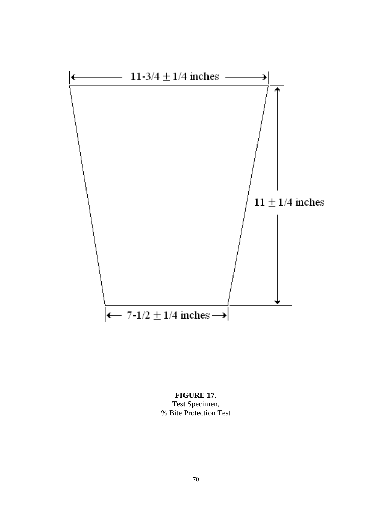![](_page_69_Figure_0.jpeg)

# **FIGURE 17**. Test Specimen, % Bite Protection Test